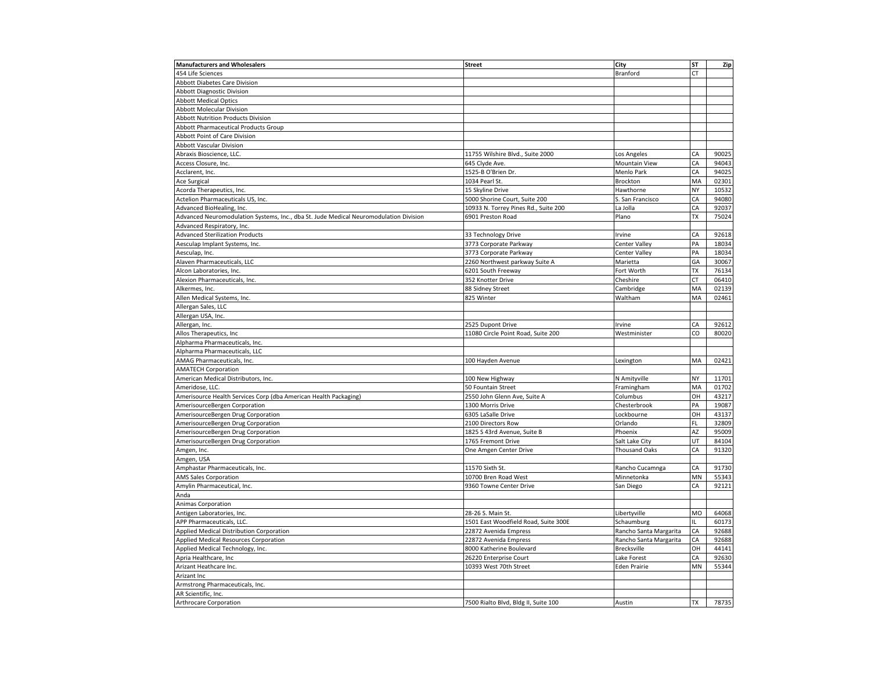| <b>Manufacturers and Wholesalers</b>                                                  | <b>Street</b>                        | City                   | ST        | Zip            |
|---------------------------------------------------------------------------------------|--------------------------------------|------------------------|-----------|----------------|
| 454 Life Sciences                                                                     |                                      | <b>Branford</b>        | <b>CT</b> |                |
| Abbott Diabetes Care Division                                                         |                                      |                        |           |                |
| <b>Abbott Diagnostic Division</b>                                                     |                                      |                        |           |                |
| <b>Abbott Medical Optics</b>                                                          |                                      |                        |           |                |
| <b>Abbott Molecular Division</b>                                                      |                                      |                        |           |                |
| <b>Abbott Nutrition Products Division</b>                                             |                                      |                        |           |                |
| Abbott Pharmaceutical Products Group                                                  |                                      |                        |           |                |
| Abbott Point of Care Division                                                         |                                      |                        |           |                |
| Abbott Vascular Division                                                              |                                      |                        |           |                |
| Abraxis Bioscience, LLC.                                                              | 11755 Wilshire Blvd., Suite 2000     | Los Angeles            | CA        | 90025          |
| Access Closure, Inc.                                                                  | 645 Clyde Ave.                       | Mountain View          | CA        | 94043          |
| Acclarent, Inc.                                                                       | 1525-B O'Brien Dr.                   | Menlo Park             | CA        | 94025          |
| Ace Surgical                                                                          | 1034 Pearl St.                       | Brockton               | MA        | 02301          |
| Acorda Therapeutics, Inc.                                                             | 15 Skyline Drive                     | Hawthorne              | NY        | 10532          |
| Actelion Pharmaceuticals US, Inc.                                                     | 5000 Shorine Court, Suite 200        | S. San Francisco       | CA        | 94080          |
| Advanced BioHealing, Inc.                                                             | 10933 N. Torrey Pines Rd., Suite 200 | La Jolla               | CA        | 92037          |
| Advanced Neuromodulation Systems, Inc., dba St. Jude Medical Neuromodulation Division | 6901 Preston Road                    | Plano                  | ТX        | 75024          |
| Advanced Respiratory, Inc.                                                            |                                      |                        |           |                |
| <b>Advanced Sterilization Products</b>                                                | 33 Technology Drive                  | Irvine                 | CA        | 92618          |
| Aesculap Implant Systems, Inc.                                                        | 3773 Corporate Parkway               | <b>Center Valley</b>   | PA        | 18034          |
| Aesculap, Inc.                                                                        | 3773 Corporate Parkway               | Center Valley          | PA        | 18034          |
| Alaven Pharmaceuticals, LLC                                                           | 2260 Northwest parkway Suite A       | Marietta               | GA        | 30067          |
| Alcon Laboratories, Inc.                                                              | 6201 South Freeway                   | Fort Worth             | TX        | 76134          |
| Alexion Pharmaceuticals, Inc.                                                         | 352 Knotter Drive                    | Cheshire               | СT        | 06410          |
| Alkermes, Inc.                                                                        | 88 Sidney Street                     | Cambridge              | MA        | 02139          |
| Allen Medical Systems, Inc.                                                           | 825 Winter                           | Waltham                | MA        | 02461          |
| Allergan Sales, LLC                                                                   |                                      |                        |           |                |
| Allergan USA, Inc.                                                                    |                                      |                        |           |                |
| Allergan, Inc.                                                                        | 2525 Dupont Drive                    | Irvine                 | CA        | 92612          |
| Allos Therapeutics, Inc                                                               | 11080 Circle Point Road, Suite 200   | Westminister           | CO        | 80020          |
| Alpharma Pharmaceuticals, Inc.                                                        |                                      |                        |           |                |
| Alpharma Pharmaceuticals, LLC                                                         |                                      |                        |           |                |
| AMAG Pharmaceuticals, Inc.                                                            |                                      |                        | MA        | 02421          |
| <b>AMATECH Corporation</b>                                                            | 100 Hayden Avenue                    | Lexington              |           |                |
| American Medical Distributors, Inc.                                                   | 100 New Highway                      | N Amityville           | NY        | 11701          |
| Ameridose, LLC.                                                                       |                                      |                        | MA        | 01702          |
|                                                                                       | 50 Fountain Street                   | Framingham             | OН        | 43217          |
| Amerisource Health Services Corp (dba American Health Packaging)                      | 2550 John Glenn Ave, Suite A         | Columbus               | PA        |                |
| AmerisourceBergen Corporation                                                         | 1300 Morris Drive                    | Chesterbrook           | OН        | 19087<br>43137 |
| AmerisourceBergen Drug Corporation                                                    | 6305 LaSalle Drive                   | Lockbourne             |           |                |
| AmerisourceBergen Drug Corporation                                                    | 2100 Directors Row                   | Orlando                | FL        | 32809          |
| AmerisourceBergen Drug Corporation                                                    | 1825 S 43rd Avenue, Suite B          | Phoenix                | AZ        | 95009          |
| AmerisourceBergen Drug Corporation                                                    | 1765 Fremont Drive                   | Salt Lake City         | UT        | 84104          |
| Amgen, Inc.                                                                           | One Amgen Center Drive               | <b>Thousand Oaks</b>   | CA        | 91320          |
| Amgen, USA                                                                            |                                      |                        |           |                |
| Amphastar Pharmaceuticals, Inc.                                                       | 11570 Sixth St.                      | Rancho Cucamnga        | CA        | 91730          |
| <b>AMS Sales Corporation</b>                                                          | 10700 Bren Road West                 | Minnetonka             | MN        | 55343          |
| Amylin Pharmaceutical, Inc.                                                           | 9360 Towne Center Drive              | San Diego              | CA        | 92121          |
| Anda                                                                                  |                                      |                        |           |                |
| Animas Corporation                                                                    |                                      |                        |           |                |
| Antigen Laboratories, Inc.                                                            | 28-26 S. Main St.                    | Libertyville           | MO        | 64068          |
| APP Pharmaceuticals, LLC.                                                             | 1501 East Woodfield Road, Suite 300E | Schaumburg             | IL        | 60173          |
| Applied Medical Distribution Corporation                                              | 22872 Avenida Empress                | Rancho Santa Margarita | CA        | 92688          |
| Applied Medical Resources Corporation                                                 | 22872 Avenida Empress                | Rancho Santa Margarita | CA        | 92688          |
| Applied Medical Technology, Inc.                                                      | 8000 Katherine Boulevard             | <b>Brecksville</b>     | OН        | 44141          |
| Apria Healthcare, Inc                                                                 | 26220 Enterprise Court               | Lake Forest            | CA        | 92630          |
| Arizant Heathcare Inc.                                                                | 10393 West 70th Street               | Eden Prairie           | MN        | 55344          |
| Arizant Inc                                                                           |                                      |                        |           |                |
| Armstrong Pharmaceuticals, Inc.                                                       |                                      |                        |           |                |
| AR Scientific, Inc.                                                                   |                                      |                        |           |                |
| Arthrocare Corporation                                                                | 7500 Rialto Blvd, Bldg II, Suite 100 | Austin                 | TX        | 78735          |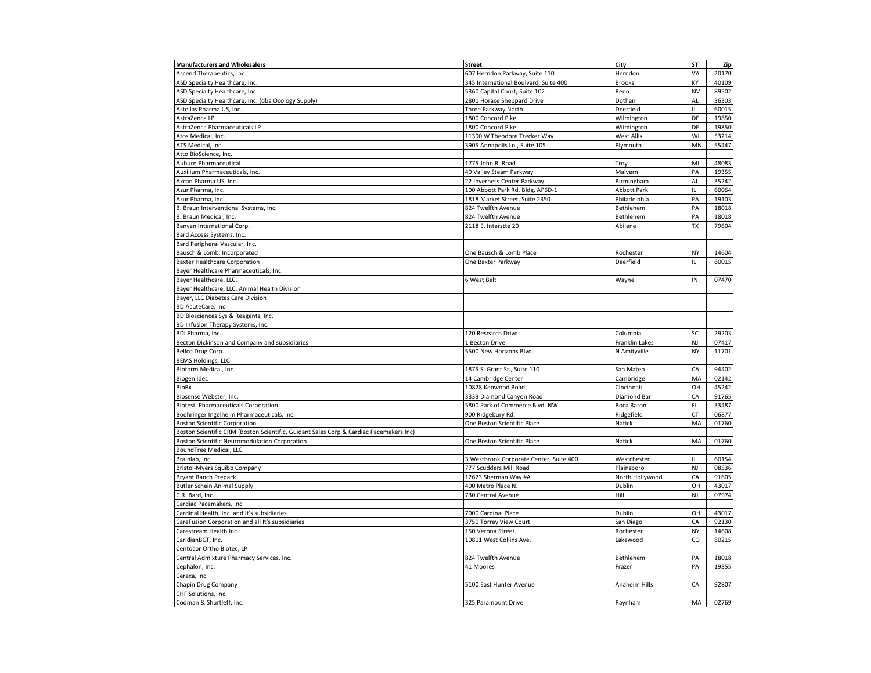| <b>Manufacturers and Wholesalers</b>                                                   | <b>Street</b>                           | City               | ST  | Zip   |
|----------------------------------------------------------------------------------------|-----------------------------------------|--------------------|-----|-------|
| Ascend Therapeutics, Inc.                                                              | 607 Herndon Parkway, Suite 110          | Herndon            | VA  | 20170 |
| ASD Specialty Healthcare, Inc.                                                         | 345 International Boulvard, Suite 400   | <b>Brooks</b>      | KΥ  | 40109 |
| ASD Specialty Healthcare, Inc.                                                         | 5360 Capital Court, Suite 102           | Reno               | NV  | 89502 |
| ASD Specialty Healthcare, Inc. (dba Ocology Supply)                                    | 2801 Horace Sheppard Drive              | Dothan             | AL  | 36303 |
| Astellas Pharma US, Inc.                                                               | Three Parkway North                     | Deerfield          | IL. | 60015 |
| AstraZenca LP                                                                          | 1800 Concord Pike                       | Wilmington         | DE  | 19850 |
| AstraZenca Pharmaceuticals LP                                                          | 1800 Concord Pike                       | Wilmington         | DE  | 19850 |
| Atos Medical, Inc.                                                                     | 11390 W Theodore Trecker Way            | <b>West Allis</b>  | WI  | 53214 |
| ATS Medical, Inc.                                                                      | 3905 Annapolis Ln., Suite 105           | Plymouth           | MN  | 55447 |
| Atto BioScience, Inc.                                                                  |                                         |                    |     |       |
| <b>Auburn Pharmaceutical</b>                                                           | 1775 John R. Road                       | Troy               | MI  | 48083 |
| Auxilium Pharmaceuticals, Inc.                                                         | 40 Valley Steam Parkway                 | Malvern            | PA  | 19355 |
| Axcan Pharma US, Inc.                                                                  | 22 Inverness Center Parkway             | Birmingham         | AL  | 35242 |
| Azur Pharma, Inc.                                                                      | 100 Abbott Park Rd. Bldg. AP6D-1        | <b>Abbott Park</b> | IL  | 60064 |
| Azur Pharma, Inc.                                                                      | 1818 Market Street, Suite 2350          | Philadelphia       | PA  | 19103 |
| B. Braun Interventional Systems, Inc.                                                  | 824 Twelfth Avenue                      | Bethlehem          | PA  | 18018 |
| B. Braun Medical, Inc.                                                                 | 824 Twelfth Avenue                      | Bethlehem          | PA  | 18018 |
| Banyan International Corp.                                                             | 2118 E. Interstte 20                    | Abilene            | TX  | 79604 |
| Bard Access Systems, Inc.                                                              |                                         |                    |     |       |
| Bard Peripheral Vascular, Inc.                                                         |                                         |                    |     |       |
| Bausch & Lomb, Incorporated                                                            | One Bausch & Lomb Place                 | Rochester          | NY  | 14604 |
| <b>Baxter Healthcare Corporation</b>                                                   | One Baxter Parkway                      | Deerfield          | Ш   | 60015 |
| Bayer Healthcare Pharmaceuticals, Inc.                                                 |                                         |                    |     |       |
| Bayer Healthcare, LLC.                                                                 | 6 West Belt                             | Wayne              | IN  | 07470 |
| Bayer Healthcare, LLC. Animal Health Division                                          |                                         |                    |     |       |
| Bayer, LLC Diabetes Care Division                                                      |                                         |                    |     |       |
| BD AcuteCare, Inc.                                                                     |                                         |                    |     |       |
| BD Biosciences Sys & Reagents, Inc.                                                    |                                         |                    |     |       |
| BD Infusion Therapy Systems, Inc.                                                      |                                         |                    |     |       |
| BDI Pharma, Inc.                                                                       | 120 Research Drive                      | Columbia           | SC  | 29203 |
| Becton Dickinson and Company and subsidiaries                                          | 1 Becton Drive                          | Franklin Lakes     | NJ  | 07417 |
|                                                                                        | 5500 New Horizons Blvd.                 | N Amityville       | NY  | 11701 |
| Bellco Drug Corp.                                                                      |                                         |                    |     |       |
| <b>BEMS Holdings, LLC</b><br>Bioform Medical, Inc.                                     | 1875 S. Grant St., Suite 110            |                    | CA  | 94402 |
|                                                                                        |                                         | San Mateo          | MA  | 02142 |
| Biogen Idec                                                                            | 14 Cambridge Center                     | Cambridge          |     |       |
| BioRx                                                                                  | 10828 Kenwood Road                      | Cincinnati         | OH  | 45242 |
| Biosense Webster, Inc.                                                                 | 3333 Diamond Canyon Road                | Diamond Bar        | CA  | 91765 |
| <b>Biotest Pharmaceuticals Corporation</b>                                             | 5800 Park of Commerce Blvd. NW          | <b>Boca Raton</b>  | FL  | 33487 |
| Boehringer Ingelheim Pharmaceuticals, Inc.                                             | 900 Ridgebury Rd.                       | Ridgefield         | СT  | 06877 |
| <b>Boston Scientific Corporation</b>                                                   | One Boston Scientific Place             | Natick             | MA  | 01760 |
| Boston Scientific CRM (Boston Scientific, Guidant Sales Corp & Cardiac Pacemakers Inc) |                                         |                    |     |       |
| Boston Scientific Neuromodulation Corporation                                          | One Boston Scientific Place             | Natick             | MA  | 01760 |
| BoundTree Medical, LLC                                                                 |                                         |                    |     |       |
| Brainlab, Inc.                                                                         | 3 Westbrook Corporate Center, Suite 400 | Westchester        | IL  | 60154 |
| Bristol-Myers Squibb Company                                                           | 777 Scudders Mill Road                  | Plainsboro         | NJ  | 08536 |
| <b>Bryant Ranch Prepack</b>                                                            | 12623 Sherman Way #A                    | North Hollywood    | CA  | 91605 |
| <b>Butler Schein Animal Supply</b>                                                     | 400 Metro Place N.                      | Dublin             | OH  | 43017 |
| C.R. Bard, Inc.                                                                        | 730 Central Avenue                      | Hill               | NJ  | 07974 |
| Cardiac Pacemakers, Inc                                                                |                                         |                    |     |       |
| Cardinal Health, Inc. and It's subsidiaries                                            | 7000 Cardinal Place                     | Dublin             | OH  | 43017 |
| CareFusion Corporation and all It's subsidiaries                                       | 3750 Torrey View Court                  | San Diego          | CA  | 92130 |
| Carestream Health Inc.                                                                 | 150 Verona Street                       | Rochester          | NY  | 14608 |
| CaridianBCT, Inc.                                                                      | 10811 West Collins Ave.                 | Lakewood           | CO  | 80215 |
| Centocor Ortho Biotec, LP                                                              |                                         |                    |     |       |
| Central Admixture Pharmacy Services, Inc.                                              | 824 Twelfth Avenue                      | Bethlehem          | PA  | 18018 |
| Cephalon, Inc.                                                                         | 41 Moores                               | Frazer             | PA  | 19355 |
| Cerexa, Inc.                                                                           |                                         |                    |     |       |
| Chapin Drug Company                                                                    | 5100 East Hunter Avenue                 | Anaheim Hills      | CA  | 92807 |
| CHF Solutions, Inc.                                                                    |                                         |                    |     |       |
| Codman & Shurtleff, Inc.                                                               | 325 Paramount Drive                     | Raynham            | MA  | 02769 |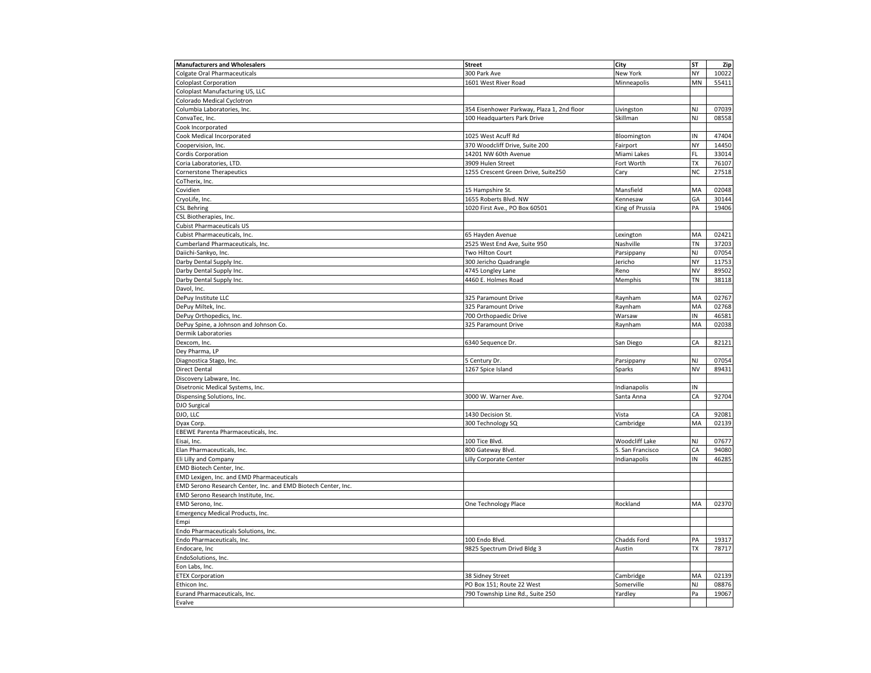| <b>Manufacturers and Wholesalers</b>                          | <b>Street</b>                              | City             | ST        | Zip            |
|---------------------------------------------------------------|--------------------------------------------|------------------|-----------|----------------|
| <b>Colgate Oral Pharmaceuticals</b>                           | 300 Park Ave                               | New York         | NY        | 10022          |
| <b>Coloplast Corporation</b>                                  | 1601 West River Road                       | Minneapolis      | MN        | 55411          |
| Coloplast Manufacturing US, LLC                               |                                            |                  |           |                |
| Colorado Medical Cyclotron                                    |                                            |                  |           |                |
| Columbia Laboratories, Inc.                                   | 354 Eisenhower Parkway, Plaza 1, 2nd floor | Livingston       | NJ        | 07039          |
| ConvaTec, Inc.                                                | 100 Headquarters Park Drive                | Skillman         | NJ        | 08558          |
| Cook Incorporated                                             |                                            |                  |           |                |
| Cook Medical Incorporated                                     | 1025 West Acuff Rd                         | Bloomington      | IN        | 47404          |
| Coopervision, Inc.                                            | 370 Woodcliff Drive, Suite 200             | Fairport         | NY        | 14450          |
| <b>Cordis Corporation</b>                                     | 14201 NW 60th Avenue                       | Miami Lakes      | FL        | 33014          |
| Coria Laboratories, LTD.                                      | 3909 Hulen Street                          | Fort Worth       | TX        | 76107          |
| <b>Cornerstone Therapeutics</b>                               | 1255 Crescent Green Drive, Suite250        | Cary             | <b>NC</b> | 27518          |
| CoTherix, Inc.                                                |                                            |                  |           |                |
| Covidien                                                      | 15 Hampshire St.                           | Mansfield        | MA        | 02048          |
| CryoLife, Inc.                                                | 1655 Roberts Blvd. NW                      | Kennesaw         | GA        | 30144          |
| <b>CSL Behring</b>                                            | 1020 First Ave., PO Box 60501              | King of Prussia  | PA        | 19406          |
| CSL Biotherapies, Inc.                                        |                                            |                  |           |                |
| <b>Cubist Pharmaceuticals US</b>                              |                                            |                  |           |                |
| Cubist Pharmaceuticals, Inc.                                  | 65 Hayden Avenue                           | Lexington        | MA        | 02421          |
| Cumberland Pharmaceuticals, Inc.                              | 2525 West End Ave, Suite 950               | Nashville        | TN        | 37203          |
| Daiichi-Sankyo, Inc.                                          | Two Hilton Court                           | Parsippany       | NJ        | 07054          |
| Darby Dental Supply Inc.                                      | 300 Jericho Quadrangle                     | Jericho          | NY        | 11753          |
| Darby Dental Supply Inc.                                      | 4745 Longley Lane                          | Reno             | NV        | 89502          |
| Darby Dental Supply Inc.                                      | 4460 E. Holmes Road                        | Memphis          | TN        | 38118          |
| Davol, Inc.                                                   |                                            |                  |           |                |
| DePuy Institute LLC                                           | 325 Paramount Drive                        | Raynham          | MA        | 02767          |
| DePuy Miltek, Inc.                                            | 325 Paramount Drive                        | Raynham          | MA        | 02768          |
| DePuy Orthopedics, Inc.                                       | 700 Orthopaedic Drive                      | Warsaw           | IN        | 46581          |
| DePuy Spine, a Johnson and Johnson Co.                        | 325 Paramount Drive                        | Raynham          | MA        | 02038          |
| Dermik Laboratories                                           |                                            |                  |           |                |
| Dexcom, Inc.                                                  | 6340 Sequence Dr.                          |                  | CA        | 82121          |
| Dey Pharma, LP                                                |                                            | San Diego        |           |                |
|                                                               |                                            |                  | NJ        |                |
| Diagnostica Stago, Inc.<br><b>Direct Dental</b>               | 5 Century Dr.<br>1267 Spice Island         | Parsippany       | NV        | 07054<br>89431 |
|                                                               |                                            | Sparks           |           |                |
| Discovery Labware, Inc.                                       |                                            |                  | IN        |                |
| Disetronic Medical Systems, Inc.                              |                                            | Indianapolis     |           |                |
| Dispensing Solutions, Inc.                                    | 3000 W. Warner Ave.                        | Santa Anna       | CA        | 92704          |
| DJO Surgical                                                  |                                            |                  |           |                |
| DJO, LLC                                                      | 1430 Decision St.                          | Vista            | CA        | 92081          |
| Dyax Corp.                                                    | 300 Technology SQ                          | Cambridge        | MA        | 02139          |
| EBEWE Parenta Pharmaceuticals, Inc.                           |                                            |                  |           |                |
| Eisai, Inc.                                                   | 100 Tice Blvd.                             | Woodcliff Lake   | NJ        | 07677          |
| Elan Pharmaceuticals, Inc.                                    | 800 Gateway Blvd.                          | S. San Francisco | CA        | 94080          |
| Eli Lilly and Company                                         | Lilly Corporate Center                     | Indianapolis     | IN        | 46285          |
| EMD Biotech Center, Inc.                                      |                                            |                  |           |                |
| EMD Lexigen, Inc. and EMD Pharmaceuticals                     |                                            |                  |           |                |
| EMD Serono Research Center, Inc. and EMD Biotech Center, Inc. |                                            |                  |           |                |
| EMD Serono Research Institute, Inc.                           |                                            |                  |           |                |
| EMD Serono, Inc.                                              | One Technology Place                       | Rockland         | MA        | 02370          |
| <b>Emergency Medical Products, Inc.</b>                       |                                            |                  |           |                |
| Empi                                                          |                                            |                  |           |                |
| Endo Pharmaceuticals Solutions, Inc.                          |                                            |                  |           |                |
| Endo Pharmaceuticals, Inc.                                    | 100 Endo Blvd.                             | Chadds Ford      | PA        | 19317          |
| Endocare, Inc                                                 | 9825 Spectrum Drivd Bldg 3                 | Austin           | TX        | 78717          |
| EndoSolutions, Inc.                                           |                                            |                  |           |                |
| Eon Labs, Inc.                                                |                                            |                  |           |                |
| <b>ETEX Corporation</b>                                       | 38 Sidney Street                           | Cambridge        | MA        | 02139          |
| Ethicon Inc.                                                  | PO Box 151; Route 22 West                  | Somerville       | NJ        | 08876          |
| Eurand Pharmaceuticals, Inc.                                  | 790 Township Line Rd., Suite 250           | Yardley          | Pa        | 19067          |
| Evalve                                                        |                                            |                  |           |                |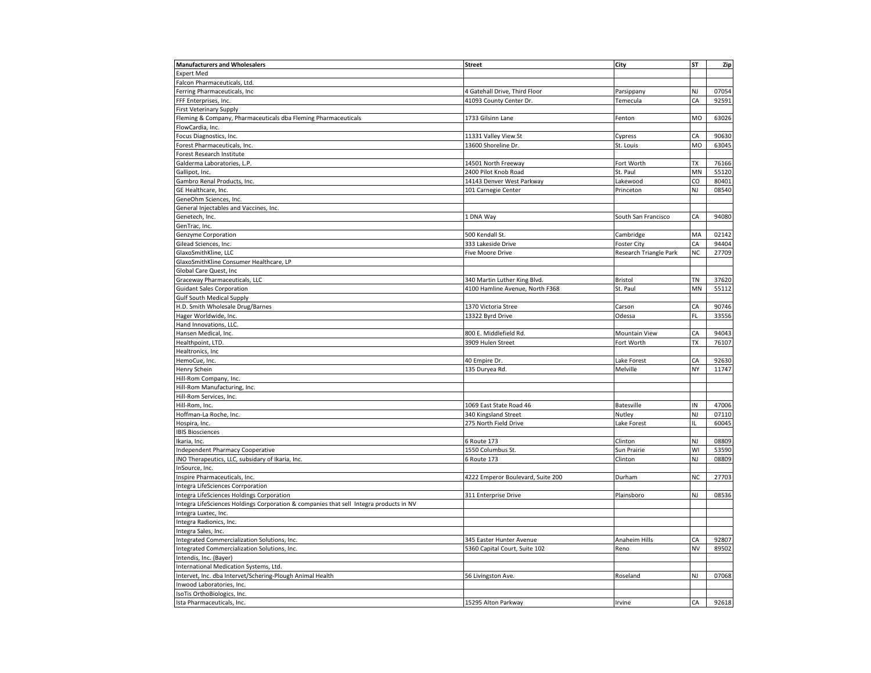| <b>Manufacturers and Wholesalers</b>                                                   | <b>Street</b>                     | City                   | <b>ST</b> | Zip            |
|----------------------------------------------------------------------------------------|-----------------------------------|------------------------|-----------|----------------|
| <b>Expert Med</b>                                                                      |                                   |                        |           |                |
| Falcon Pharmaceuticals, Ltd.                                                           |                                   |                        |           |                |
| Ferring Pharmaceuticals, Inc                                                           | 4 Gatehall Drive, Third Floor     | Parsippany             | NJ        | 07054          |
| FFF Enterprises, Inc.                                                                  | 41093 County Center Dr.           | Temecula               | CA        | 92591          |
| <b>First Veterinary Supply</b>                                                         |                                   |                        |           |                |
| Fleming & Company, Pharmaceuticals dba Fleming Pharmaceuticals                         | 1733 Gilsinn Lane                 | Fenton                 | <b>MO</b> | 63026          |
| FlowCardia, Inc                                                                        |                                   |                        |           |                |
| Focus Diagnostics, Inc.                                                                | 11331 Valley View St              | Cypress                | CA        | 90630          |
| Forest Pharmaceuticals, Inc.                                                           | 13600 Shoreline Dr.               | St. Louis              | MO        | 63045          |
| Forest Research Institute                                                              |                                   |                        |           |                |
| Galderma Laboratories, L.P.                                                            | 14501 North Freeway               | Fort Worth             | ТX        | 76166          |
| Gallipot, Inc.                                                                         | 2400 Pilot Knob Road              | St. Paul               | MN        | 55120          |
| Gambro Renal Products, Inc.                                                            | 14143 Denver West Parkway         | Lakewood               | CO        | 80401          |
| GE Healthcare, Inc.                                                                    | 101 Carnegie Center               | Princeton              | NJ        | 08540          |
| GeneOhm Sciences, Inc.                                                                 |                                   |                        |           |                |
| General Injectables and Vaccines, Inc.                                                 |                                   |                        |           |                |
| Genetech, Inc.                                                                         | 1 DNA Way                         | South San Francisco    | CA        | 94080          |
| GenTrac, Inc.                                                                          |                                   |                        |           |                |
| Genzyme Corporation                                                                    | 500 Kendall St                    | Cambridge              | MA        | 02142          |
| Gilead Sciences, Inc.                                                                  | 333 Lakeside Drive                | <b>Foster City</b>     | CA        | 94404          |
| GlaxoSmithKline, LLC                                                                   | Five Moore Drive                  | Research Triangle Park | NC        | 27709          |
| GlaxoSmithKline Consumer Healthcare, LP                                                |                                   |                        |           |                |
| Global Care Quest, Inc                                                                 |                                   |                        |           |                |
| Graceway Pharmaceuticals, LLC                                                          | 340 Martin Luther King Blvd.      | Bristol                | ΤN        | 37620          |
| <b>Guidant Sales Corporation</b>                                                       | 4100 Hamline Avenue, North F368   | St. Paul               | MN        | 55112          |
| <b>Gulf South Medical Supply</b>                                                       |                                   |                        |           |                |
| H.D. Smith Wholesale Drug/Barnes                                                       | 1370 Victoria Stree               | Carson                 | CA        | 90746          |
| Hager Worldwide, Inc.                                                                  | 13322 Byrd Drive                  | Odessa                 | FL        | 33556          |
| Hand Innovations, LLC.                                                                 |                                   |                        |           |                |
| Hansen Medical, Inc.                                                                   | 800 E. Middlefield Rd.            | Mountain View          | CA        | 94043          |
| Healthpoint, LTD.                                                                      | 3909 Hulen Street                 | Fort Worth             | ТX        | 76107          |
| Healtronics, Inc                                                                       |                                   |                        |           |                |
|                                                                                        |                                   |                        | CA        |                |
| HemoCue, Inc.                                                                          | 40 Empire Dr.                     | Lake Forest            | NY        | 92630<br>11747 |
| Henry Schein                                                                           | 135 Duryea Rd                     | Melville               |           |                |
| Hill-Rom Company, Inc.                                                                 |                                   |                        |           |                |
| Hill-Rom Manufacturing, Inc.                                                           |                                   |                        |           |                |
| Hill-Rom Services, Inc.                                                                |                                   |                        |           |                |
| Hill-Rom, Inc.                                                                         | 1069 East State Road 46           | <b>Batesville</b>      | IN        | 47006          |
| Hoffman-La Roche, Inc.                                                                 | 340 Kingsland Street              | Nutley                 | NJ        | 07110          |
| Hospira, Inc.                                                                          | 275 North Field Drive             | Lake Forest            | IL        | 60045          |
| <b>IBIS Biosciences</b>                                                                |                                   |                        |           |                |
| Ikaria, Inc.                                                                           | 6 Route 173                       | Clinton                | NJ        | 08809          |
| <b>Independent Pharmacy Cooperative</b>                                                | 1550 Columbus St.                 | Sun Prairie            | WI        | 53590          |
| INO Therapeutics, LLC, subsidary of Ikaria, Inc.                                       | 6 Route 173                       | Clinton                | NJ        | 08809          |
| InSource, Inc.                                                                         |                                   |                        |           |                |
| Inspire Pharmaceuticals, Inc.                                                          | 4222 Emperor Boulevard, Suite 200 | Durham                 | <b>NC</b> | 27703          |
| Integra LifeSciences Corrporation                                                      |                                   |                        |           |                |
| Integra LifeSciences Holdings Corporation                                              | 311 Enterprise Drive              | Plainsboro             | NJ        | 08536          |
| Integra LifeSciences Holdings Corporation & companies that sell Integra products in NV |                                   |                        |           |                |
| Integra Luxtec, Inc.                                                                   |                                   |                        |           |                |
| Integra Radionics, Inc.                                                                |                                   |                        |           |                |
| Integra Sales, Inc.                                                                    |                                   |                        |           |                |
| Integrated Commercialization Solutions, Inc.                                           | 345 Easter Hunter Avenue          | Anaheim Hills          | СA        | 92807          |
| Integrated Commercialization Solutions, Inc.                                           | 5360 Capital Court, Suite 102     | Reno                   | <b>NV</b> | 89502          |
| Intendis, Inc. (Bayer)                                                                 |                                   |                        |           |                |
| International Medication Systems, Ltd.                                                 |                                   |                        |           |                |
| Intervet, Inc. dba Intervet/Schering-Plough Animal Health                              | 56 Livingston Ave.                | Roseland               | NJ        | 07068          |
| Inwood Laboratories, Inc                                                               |                                   |                        |           |                |
| IsoTis OrthoBiologics, Inc.                                                            |                                   |                        |           |                |
| Ista Pharmaceuticals, Inc.                                                             | 15295 Alton Parkway               | Irvine                 | CA        | 92618          |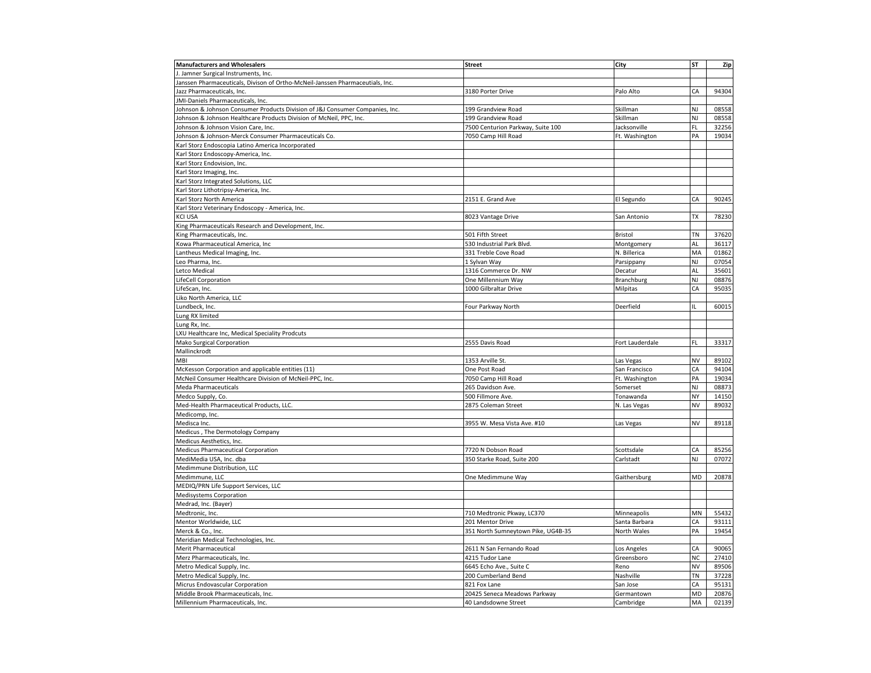| <b>Manufacturers and Wholesalers</b>                                          | <b>Street</b>                      | City            | ST        | Zip            |
|-------------------------------------------------------------------------------|------------------------------------|-----------------|-----------|----------------|
| J. Jamner Surgical Instruments, Inc.                                          |                                    |                 |           |                |
| Janssen Pharmaceuticals, Divison of Ortho-McNeil-Janssen Pharmaceutials, Inc. |                                    |                 |           |                |
| Jazz Pharmaceuticals, Inc.                                                    | 3180 Porter Drive                  | Palo Alto       | CA        | 94304          |
| JMI-Daniels Pharmaceuticals, Inc.                                             |                                    |                 |           |                |
| Johnson & Johnson Consumer Products Division of J&J Consumer Companies, Inc.  | 199 Grandview Road                 | Skillman        | NJ        | 08558          |
| Iohnson & Johnson Healthcare Products Division of McNeil, PPC, Inc.           | 199 Grandview Road                 | Skillman        | NJ        | 08558          |
| Johnson & Johnson Vision Care, Inc.                                           | 7500 Centurion Parkway, Suite 100  | Jacksonville    | FL        | 32256          |
| Johnson & Johnson-Merck Consumer Pharmaceuticals Co.                          | 7050 Camp Hill Road                | Ft. Washington  | PA        | 19034          |
| Karl Storz Endoscopia Latino America Incorporated                             |                                    |                 |           |                |
| Karl Storz Endoscopy-America, Inc.                                            |                                    |                 |           |                |
| Karl Storz Endovision, Inc.                                                   |                                    |                 |           |                |
| Karl Storz Imaging, Inc.                                                      |                                    |                 |           |                |
| Karl Storz Integrated Solutions, LLC                                          |                                    |                 |           |                |
| Karl Storz Lithotripsy-America, Inc.                                          |                                    |                 |           |                |
| Karl Storz North America                                                      | 2151 E. Grand Ave                  | El Segundo      | CA        | 90245          |
| Karl Storz Veterinary Endoscopy - America, Inc.                               |                                    |                 |           |                |
| KCI USA                                                                       | 8023 Vantage Drive                 | San Antonio     | TX        | 78230          |
| King Pharmaceuticals Research and Development, Inc.                           |                                    |                 |           |                |
| King Pharmaceuticals, Inc.                                                    | 501 Fifth Street                   | Bristol         | TN        | 37620          |
| Kowa Pharmaceutical America, Inc                                              | 530 Industrial Park Blvd           | Montgomery      | AL        | 36117          |
| Lantheus Medical Imaging, Inc.                                                | 331 Treble Cove Road               | N. Billerica    | MA        | 01862          |
| Leo Pharma, Inc.                                                              | 1 Sylvan Way                       | Parsippany      | NJ        | 07054          |
| Letco Medical                                                                 | 1316 Commerce Dr. NW               | Decatur         | AL        | 35601          |
| LifeCell Corporation                                                          | One Millennium Way                 | Branchburg      | NJ        | 08876          |
| LifeScan, Inc.                                                                | 1000 Gilbraltar Drive              | Milpitas        | CA        | 95035          |
| Liko North America, LLC                                                       |                                    |                 |           |                |
| Lundbeck, Inc.                                                                | Four Parkway North                 | Deerfield       | IL.       | 60015          |
| Lung RX limited                                                               |                                    |                 |           |                |
| Lung Rx, Inc.                                                                 |                                    |                 |           |                |
| LXU Healthcare Inc, Medical Speciality Prodcuts                               |                                    |                 |           |                |
| Mako Surgical Corporation                                                     |                                    |                 | FL        | 33317          |
| Mallinckrodt                                                                  | 2555 Davis Road                    | Fort Lauderdale |           |                |
| MBI                                                                           |                                    |                 | NV        |                |
|                                                                               | 1353 Arville St.                   | Las Vegas       | CA        | 89102<br>94104 |
| McKesson Corporation and applicable entities (11)                             | One Post Road                      | San Francisco   | PA        |                |
| McNeil Consumer Healthcare Division of McNeil-PPC, Inc.                       | 7050 Camp Hill Road                | Ft. Washington  |           | 19034          |
| Meda Pharmaceuticals                                                          | 265 Davidson Ave.                  | Somerset        | NJ        | 08873          |
| Medco Supply, Co.                                                             | 500 Fillmore Ave.                  | Tonawanda       | NY        | 14150          |
| Med-Health Pharmaceutical Products, LLC.                                      | 2875 Coleman Street                | N. Las Vegas    | NV        | 89032          |
| Medicomp, Inc.                                                                |                                    |                 |           |                |
| Medisca Inc.                                                                  | 3955 W. Mesa Vista Ave. #10        | Las Vegas       | <b>NV</b> | 89118          |
| Medicus, The Dermotology Company                                              |                                    |                 |           |                |
| Medicus Aesthetics, Inc.                                                      |                                    |                 |           |                |
| Medicus Pharmaceutical Corporation                                            | 7720 N Dobson Road                 | Scottsdale      | CA        | 85256          |
| MediMedia USA, Inc. dba                                                       | 350 Starke Road, Suite 200         | Carlstadt       | NJ        | 07072          |
| Medimmune Distribution, LLC                                                   |                                    |                 |           |                |
| Medimmune, LLC                                                                | One Medimmune Way                  | Gaithersburg    | MD        | 20878          |
| MEDIQ/PRN Life Support Services, LLC                                          |                                    |                 |           |                |
| Medisystems Corporation                                                       |                                    |                 |           |                |
| Medrad, Inc. (Bayer)                                                          |                                    |                 |           |                |
| Medtronic, Inc.                                                               | 710 Medtronic Pkway, LC370         | Minneapolis     | MN        | 55432          |
| Mentor Worldwide, LLC                                                         | 201 Mentor Drive                   | Santa Barbara   | СA        | 93111          |
| Merck & Co., Inc.                                                             | 351 North Sumneytown Pike, UG4B-35 | North Wales     | PA        | 19454          |
| Meridian Medical Technologies, Inc.                                           |                                    |                 |           |                |
| Merit Pharmaceutical                                                          | 2611 N San Fernando Road           | Los Angeles     | CA        | 90065          |
| Merz Pharmaceuticals, Inc.                                                    | 4215 Tudor Lane                    | Greensboro      | NC        | 27410          |
| Metro Medical Supply, Inc.                                                    | 6645 Echo Ave., Suite C            | Reno            | <b>NV</b> | 89506          |
| Metro Medical Supply, Inc.                                                    | 200 Cumberland Bend                | Nashville       | TN        | 37228          |
| Micrus Endovascular Corporation                                               | 821 Fox Lane                       | San Jose        | CA        | 95131          |
| Middle Brook Pharmaceuticals, Inc.                                            | 20425 Seneca Meadows Parkway       | Germantown      | MD        | 20876          |
| Millennium Pharmaceuticals, Inc.                                              | 40 Landsdowne Street               | Cambridge       | MA        | 02139          |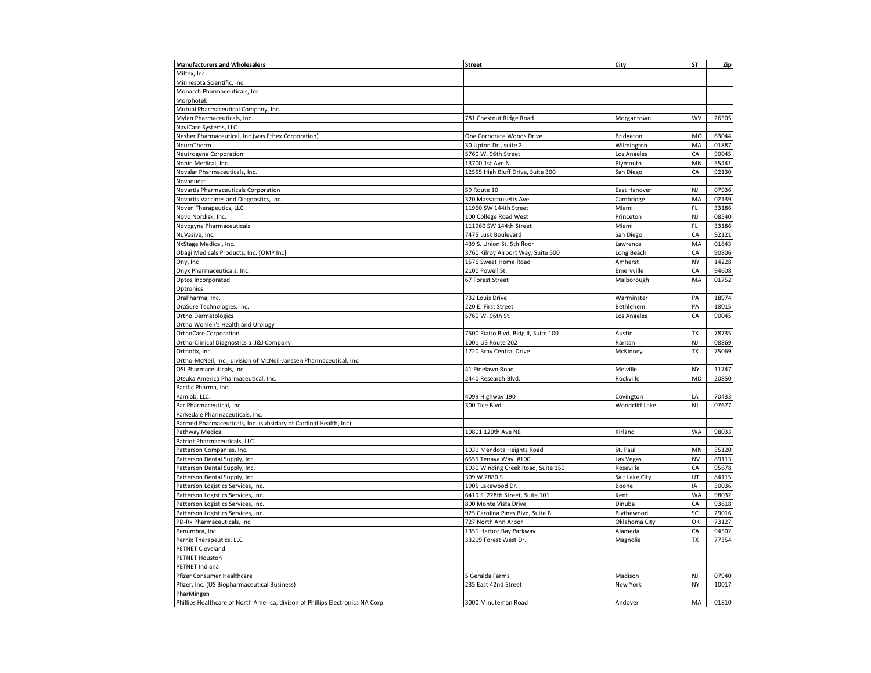| <b>Manufacturers and Wholesalers</b>                                          | <b>Street</b>                        | City                  | <b>ST</b>      | Zip   |
|-------------------------------------------------------------------------------|--------------------------------------|-----------------------|----------------|-------|
| Miltex, Inc.                                                                  |                                      |                       |                |       |
| Minnesota Scientific, Inc.                                                    |                                      |                       |                |       |
| Monarch Pharmaceuticals, Inc.                                                 |                                      |                       |                |       |
| Morphotek                                                                     |                                      |                       |                |       |
| Mutual Pharmaceutical Company, Inc.                                           |                                      |                       |                |       |
| Mylan Pharmaceuticals, Inc.                                                   | 781 Chestnut Ridge Road              | Morgantown            | WV             | 26505 |
| NaviCare Systems, LLC                                                         |                                      |                       |                |       |
| Nesher Pharmaceutical, Inc (was Ethex Corporation)                            | One Corporate Woods Drive            | Bridgeton             | M <sub>O</sub> | 63044 |
| NeuroTherm                                                                    | 30 Upton Dr., suite 2                | Wilmington            | MA             | 01887 |
| Neutrogena Corporation                                                        | 5760 W. 96th Street                  | Los Angeles           | CA             | 90045 |
| Nonin Medical, Inc.                                                           | 13700 1st Ave N.                     | Plymouth              | MN             | 55441 |
| Novalar Pharmaceuticals, Inc.                                                 | 12555 High Bluff Drive, Suite 300    | San Diego             | CA             | 92130 |
| Novaquest                                                                     |                                      |                       |                |       |
| Novartis Pharmaceuticals Corporation                                          | 59 Route 10                          | East Hanover          | <b>NJ</b>      | 07936 |
| Novartis Vaccines and Diagnostics, Inc.                                       | 320 Massachusetts Ave.               | Cambridge             | MA             | 02139 |
| Noven Therapeutics, LLC.                                                      | 11960 SW 144th Street                | Miami                 | FL             | 33186 |
| Novo Nordisk, Inc.                                                            | 100 College Road West                | Princeton             | NJ             | 08540 |
| Novogyne Pharmaceuticals                                                      | 111960 SW 144th Street               | Miami                 | FL             | 33186 |
| NuVasive, Inc.                                                                | 7475 Lusk Boulevard                  | San Diego             | CA             | 92121 |
| NxStage Medical, Inc.                                                         | 439 S. Union St. 5th floor           | Lawrence              | MA             | 01843 |
| Obagi Medicals Products, Inc. [OMP Inc]                                       | 3760 Kilroy Airport Way, Suite 500   | Long Beach            | CA             | 90806 |
| Ony, Inc                                                                      | 1576 Sweet Home Road                 | Amherst               | NY             | 14228 |
| Onyx Pharmaceuticals. Inc.                                                    | 2100 Powell St.                      | Emeryville            | CA             | 94608 |
| Optos Incorporated                                                            | 67 Forest Street                     | Malborough            | MA             | 01752 |
| Optronics                                                                     |                                      |                       |                |       |
| OraPharma, Inc.                                                               | 732 Louis Drive                      | Warminster            | PA             | 18974 |
|                                                                               |                                      |                       | PA             | 18015 |
| OraSure Technologies, Inc.                                                    | 220 E. First Street                  | Bethlehem             | CA             |       |
| Ortho Dermatologics                                                           | 5760 W. 96th St.                     | Los Angeles           |                | 90045 |
| Ortho Women's Health and Urology                                              |                                      |                       | <b>TX</b>      | 78735 |
| OrthoCare Corporation                                                         | 7500 Rialto Blvd, Bldg II, Suite 100 | Austin                |                | 08869 |
| Ortho-Clinical Diagnostics a J&J Company                                      | 1001 US Route 202                    | Raritan               | NJ             |       |
| Orthofix, Inc.                                                                | 1720 Bray Central Drive              | McKinney              | <b>TX</b>      | 75069 |
| Ortho-McNeil, Inc., division of McNeil-Janssen Pharmaceutical, Inc.           |                                      |                       |                |       |
| OSI Pharmaceuticals, Inc.                                                     | 41 Pinelawn Road                     | Melville              | NY             | 11747 |
| Otsuka America Pharmaceutical, Inc.                                           | 2440 Research Blvd.                  | Rockville             | <b>MD</b>      | 20850 |
| Pacific Pharma, Inc.                                                          |                                      |                       |                |       |
| Pamlab, LLC.                                                                  | 4099 Highway 190                     | Covington             | LA             | 70433 |
| Par Pharmaceutical, Inc                                                       | 300 Tice Blvd.                       | <b>Woodcliff Lake</b> | NJ             | 07677 |
| Parkedale Pharmaceuticals, Inc.                                               |                                      |                       |                |       |
| Parmed Pharmaceuticals, Inc. (subsidary of Cardinal Health, Inc)              |                                      |                       |                |       |
| Pathway Medical                                                               | 10801 120th Ave NE                   | Kirland               | <b>WA</b>      | 98033 |
| Patriot Pharmaceuticals, LLC.                                                 |                                      |                       |                |       |
| Patterson Companies. Inc.                                                     | 1031 Mendota Heights Road            | St. Paul              | MN             | 55120 |
| Patterson Dental Supply, Inc.                                                 | 6555 Tenaya Way, #100                | Las Vegas             | <b>NV</b>      | 89113 |
| Patterson Dental Supply, Inc.                                                 | 1030 Winding Creek Road, Suite 150   | Roseville             | CA             | 95678 |
| Patterson Dental Supply, Inc.                                                 | 309 W 2880 S                         | Salt Lake City        | UT             | 84115 |
| Patterson Logistics Services, Inc.                                            | 1905 Lakewood Dr.                    | Boone                 | IA             | 50036 |
| Patterson Logistics Services, Inc.                                            | 6419 S. 228th Street, Suite 101      | Kent                  | <b>WA</b>      | 98032 |
| Patterson Logistics Services, Inc.                                            | 800 Monte Vista Drive                | Dinuba                | CA             | 93618 |
| Patterson Logistics Services, Inc.                                            | 925 Carolina Pines Blvd, Suite B     | Blythewood            | SC             | 29016 |
| PD-Rx Pharmaceuticals, Inc.                                                   | 727 North Ann Arbor                  | Oklahoma City         | OK             | 73127 |
| Penumbra, Inc.                                                                | 1351 Harbor Bay Parkway              | Alameda               | CA             | 94502 |
| Pernix Therapeutics, LLC                                                      | 33219 Forest West Dr                 | Magnolia              | <b>TX</b>      | 77354 |
| PETNET Cleveland                                                              |                                      |                       |                |       |
| PETNET Houston                                                                |                                      |                       |                |       |
| PETNET Indiana                                                                |                                      |                       |                |       |
| Pfizer Consumer Healthcare                                                    | 5 Geralda Farms                      | Madison               | NJ             | 07940 |
| Pfizer, Inc. (US Biopharmaceutical Business)                                  | 235 East 42nd Street                 | New York              | NY             | 10017 |
| PharMingen                                                                    |                                      |                       |                |       |
| Phillips Healthcare of North America, divison of Phillips Electronics NA Corp | 3000 Minuteman Road                  | Andover               | MA             | 01810 |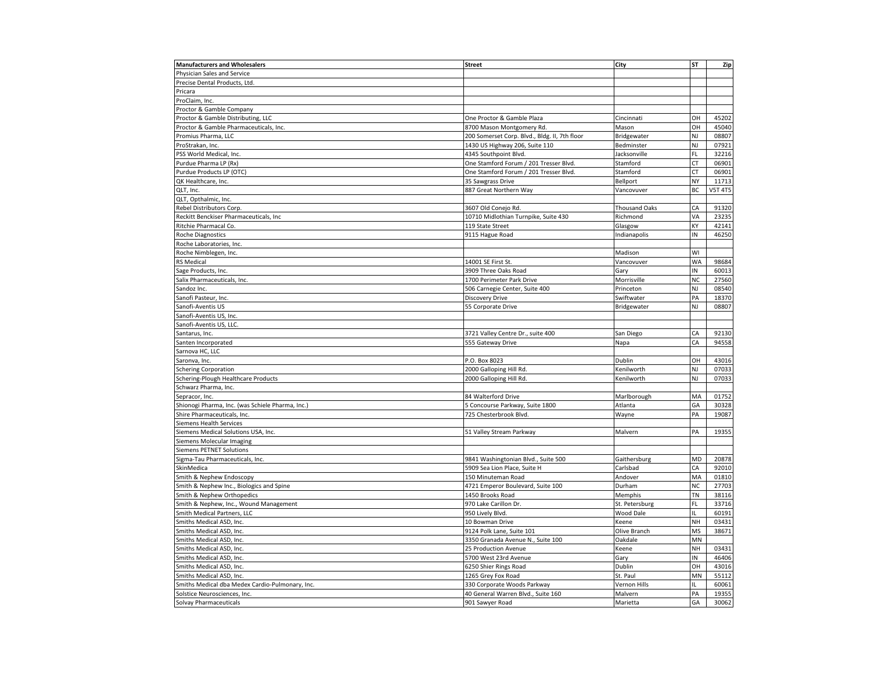| Physician Sales and Service<br>Precise Dental Products, Ltd.<br>Pricara<br>ProClaim, Inc.<br>Proctor & Gamble Company<br>Proctor & Gamble Distributing, LLC<br>One Proctor & Gamble Plaza<br>Cincinnati<br>OН<br>45202<br>Proctor & Gamble Pharmaceuticals, Inc.<br>8700 Mason Montgomery Rd.<br>Mason<br>OН<br>45040<br>NJ<br>08807<br>Promius Pharma, LLC<br>200 Somerset Corp. Blvd., Bldg. II, 7th floor<br>Bridgewater<br>NJ<br>07921<br>ProStrakan, Inc.<br>1430 US Highway 206, Suite 110<br>Bedminster<br>FL<br>PSS World Medical, Inc.<br>4345 Southpoint Blvd.<br>Jacksonville<br>32216<br>СT<br>Purdue Pharma LP (Rx)<br>One Stamford Forum / 201 Tresser Blvd.<br>Stamford<br>06901<br><b>CT</b><br>Purdue Products LP (OTC)<br>One Stamford Forum / 201 Tresser Blvd.<br>Stamford<br>06901<br>NY<br>11713<br>QK Healthcare, Inc.<br>35 Sawgrass Drive<br>Bellport<br>BC<br><b>V5T 4T5</b><br>QLT, Inc.<br>887 Great Northern Way<br>Vancovuver<br>QLT, Opthalmic, Inc.<br>CA<br>Rebel Distributors Corp.<br>3607 Old Conejo Rd.<br><b>Thousand Oaks</b><br>91320<br>VA<br>Reckitt Benckiser Pharmaceuticals, Inc<br>10710 Midlothian Turnpike, Suite 430<br>Richmond<br>23235<br>KΥ<br>119 State Street<br>42141<br>Ritchie Pharmacal Co.<br>Glasgow<br>IN<br>46250<br>Roche Diagnostics<br>9115 Hague Road<br>Indianapolis<br>Roche Laboratories, Inc.<br>WI<br>Roche Nimblegen, Inc.<br>Madison<br>Vancovuver<br><b>WA</b><br>98684<br>RS Medical<br>14001 SE First St.<br>Sage Products, Inc.<br>3909 Three Oaks Road<br>IN<br>60013<br>Gary<br>NC<br>Salix Pharmaceuticals, Inc.<br>1700 Perimeter Park Drive<br>Morrisville<br>27560<br>NJ<br>506 Carnegie Center, Suite 400<br>Princeton<br>08540<br>Sandoz Inc.<br>PA<br>Sanofi Pasteur, Inc.<br>Discovery Drive<br>Swiftwater<br>18370<br>NJ<br>Sanofi-Aventis US<br>55 Corporate Drive<br>Bridgewater<br>08807<br>Sanofi-Aventis US, Inc.<br>Sanofi-Aventis US, LLC.<br>CA<br>92130<br>Santarus, Inc.<br>3721 Valley Centre Dr., suite 400<br>San Diego<br>CA<br>94558<br>Santen Incorporated<br>555 Gateway Drive<br>Napa<br>Sarnova HC, LLC<br>OH<br>43016<br>P.O. Box 8023<br>Dublin<br>Saronva, Inc.<br>NJ<br><b>Schering Corporation</b><br>2000 Galloping Hill Rd<br>Kenilworth<br>07033<br>Schering-Plough Healthcare Products<br>2000 Galloping Hill Rd.<br>Kenilworth<br>NJ<br>07033<br>Schwarz Pharma, Inc.<br>Sepracor, Inc.<br>84 Walterford Drive<br>Marlborough<br>MA<br>01752<br>Shionogi Pharma, Inc. (was Schiele Pharma, Inc.)<br>GA<br>5 Concourse Parkway, Suite 1800<br>Atlanta<br>30328<br>PA<br>Shire Pharmaceuticals, Inc.<br>725 Chesterbrook Blvd<br>Wayne<br>19087<br><b>Siemens Health Services</b><br>Siemens Medical Solutions USA, Inc.<br>PA<br>19355<br>Malvern<br>51 Valley Stream Parkway<br>Siemens Molecular Imaging<br><b>Siemens PETNET Solutions</b><br>MD<br>20878<br>Sigma-Tau Pharmaceuticals, Inc.<br>9841 Washingtonian Blvd., Suite 500<br>Gaithersburg<br>CA<br>92010<br>SkinMedica<br>5909 Sea Lion Place, Suite H<br>Carlsbad<br>Smith & Nephew Endoscopy<br>150 Minuteman Road<br>Andover<br>MA<br>01810<br>NC<br>Smith & Nephew Inc., Biologics and Spine<br>4721 Emperor Boulevard, Suite 100<br>Durham<br>27703<br>TN<br>38116<br>Smith & Nephew Orthopedics<br>1450 Brooks Road<br>Memphis<br>970 Lake Carillon Dr.<br>FL<br>33716<br>Smith & Nephew, Inc., Wound Management<br>St. Petersburg<br>Smith Medical Partners, LLC<br>60191<br>950 Lively Blvd<br><b>Wood Dale</b><br>NH<br>03431<br>Smiths Medical ASD, Inc.<br>10 Bowman Drive<br>Keene<br>MS<br>Smiths Medical ASD, Inc.<br>9124 Polk Lane, Suite 101<br>Olive Branch<br>38671<br>MN<br>Smiths Medical ASD, Inc.<br>3350 Granada Avenue N., Suite 100<br>Oakdale<br>Smiths Medical ASD, Inc.<br>25 Production Avenue<br>NH<br>03431<br>Keene<br>Smiths Medical ASD, Inc.<br>5700 West 23rd Avenue<br>IN<br>46406<br>Gary<br>Smiths Medical ASD, Inc.<br>6250 Shier Rings Road<br>Dublin<br>OН<br>43016<br>Smiths Medical ASD, Inc.<br>1265 Grey Fox Road<br>St. Paul<br>MN<br>55112<br>Smiths Medical dba Medex Cardio-Pulmonary, Inc.<br>330 Corporate Woods Parkway<br><b>Vernon Hills</b><br>IL<br>60061<br>PA<br>19355<br>Solstice Neurosciences, Inc.<br>40 General Warren Blvd., Suite 160<br>Malvern<br>GA<br>Solvay Pharmaceuticals<br>901 Sawyer Road<br>30062<br>Marietta | <b>Manufacturers and Wholesalers</b> | <b>Street</b> | City | SΤ | Zip |
|-------------------------------------------------------------------------------------------------------------------------------------------------------------------------------------------------------------------------------------------------------------------------------------------------------------------------------------------------------------------------------------------------------------------------------------------------------------------------------------------------------------------------------------------------------------------------------------------------------------------------------------------------------------------------------------------------------------------------------------------------------------------------------------------------------------------------------------------------------------------------------------------------------------------------------------------------------------------------------------------------------------------------------------------------------------------------------------------------------------------------------------------------------------------------------------------------------------------------------------------------------------------------------------------------------------------------------------------------------------------------------------------------------------------------------------------------------------------------------------------------------------------------------------------------------------------------------------------------------------------------------------------------------------------------------------------------------------------------------------------------------------------------------------------------------------------------------------------------------------------------------------------------------------------------------------------------------------------------------------------------------------------------------------------------------------------------------------------------------------------------------------------------------------------------------------------------------------------------------------------------------------------------------------------------------------------------------------------------------------------------------------------------------------------------------------------------------------------------------------------------------------------------------------------------------------------------------------------------------------------------------------------------------------------------------------------------------------------------------------------------------------------------------------------------------------------------------------------------------------------------------------------------------------------------------------------------------------------------------------------------------------------------------------------------------------------------------------------------------------------------------------------------------------------------------------------------------------------------------------------------------------------------------------------------------------------------------------------------------------------------------------------------------------------------------------------------------------------------------------------------------------------------------------------------------------------------------------------------------------------------------------------------------------------------------------------------------------------------------------------------------------------------------------------------------------------------------------------------------------------------------------------------------------------------------------------------------------------------------------------------------------------------------------------------------------------------------------------------------------------------------------------------------------------------------------------------------------------------------------------------------------------------------------------------------------------------------------------------------------------------------|--------------------------------------|---------------|------|----|-----|
|                                                                                                                                                                                                                                                                                                                                                                                                                                                                                                                                                                                                                                                                                                                                                                                                                                                                                                                                                                                                                                                                                                                                                                                                                                                                                                                                                                                                                                                                                                                                                                                                                                                                                                                                                                                                                                                                                                                                                                                                                                                                                                                                                                                                                                                                                                                                                                                                                                                                                                                                                                                                                                                                                                                                                                                                                                                                                                                                                                                                                                                                                                                                                                                                                                                                                                                                                                                                                                                                                                                                                                                                                                                                                                                                                                                                                                                                                                                                                                                                                                                                                                                                                                                                                                                                                                                                                                               |                                      |               |      |    |     |
|                                                                                                                                                                                                                                                                                                                                                                                                                                                                                                                                                                                                                                                                                                                                                                                                                                                                                                                                                                                                                                                                                                                                                                                                                                                                                                                                                                                                                                                                                                                                                                                                                                                                                                                                                                                                                                                                                                                                                                                                                                                                                                                                                                                                                                                                                                                                                                                                                                                                                                                                                                                                                                                                                                                                                                                                                                                                                                                                                                                                                                                                                                                                                                                                                                                                                                                                                                                                                                                                                                                                                                                                                                                                                                                                                                                                                                                                                                                                                                                                                                                                                                                                                                                                                                                                                                                                                                               |                                      |               |      |    |     |
|                                                                                                                                                                                                                                                                                                                                                                                                                                                                                                                                                                                                                                                                                                                                                                                                                                                                                                                                                                                                                                                                                                                                                                                                                                                                                                                                                                                                                                                                                                                                                                                                                                                                                                                                                                                                                                                                                                                                                                                                                                                                                                                                                                                                                                                                                                                                                                                                                                                                                                                                                                                                                                                                                                                                                                                                                                                                                                                                                                                                                                                                                                                                                                                                                                                                                                                                                                                                                                                                                                                                                                                                                                                                                                                                                                                                                                                                                                                                                                                                                                                                                                                                                                                                                                                                                                                                                                               |                                      |               |      |    |     |
|                                                                                                                                                                                                                                                                                                                                                                                                                                                                                                                                                                                                                                                                                                                                                                                                                                                                                                                                                                                                                                                                                                                                                                                                                                                                                                                                                                                                                                                                                                                                                                                                                                                                                                                                                                                                                                                                                                                                                                                                                                                                                                                                                                                                                                                                                                                                                                                                                                                                                                                                                                                                                                                                                                                                                                                                                                                                                                                                                                                                                                                                                                                                                                                                                                                                                                                                                                                                                                                                                                                                                                                                                                                                                                                                                                                                                                                                                                                                                                                                                                                                                                                                                                                                                                                                                                                                                                               |                                      |               |      |    |     |
|                                                                                                                                                                                                                                                                                                                                                                                                                                                                                                                                                                                                                                                                                                                                                                                                                                                                                                                                                                                                                                                                                                                                                                                                                                                                                                                                                                                                                                                                                                                                                                                                                                                                                                                                                                                                                                                                                                                                                                                                                                                                                                                                                                                                                                                                                                                                                                                                                                                                                                                                                                                                                                                                                                                                                                                                                                                                                                                                                                                                                                                                                                                                                                                                                                                                                                                                                                                                                                                                                                                                                                                                                                                                                                                                                                                                                                                                                                                                                                                                                                                                                                                                                                                                                                                                                                                                                                               |                                      |               |      |    |     |
|                                                                                                                                                                                                                                                                                                                                                                                                                                                                                                                                                                                                                                                                                                                                                                                                                                                                                                                                                                                                                                                                                                                                                                                                                                                                                                                                                                                                                                                                                                                                                                                                                                                                                                                                                                                                                                                                                                                                                                                                                                                                                                                                                                                                                                                                                                                                                                                                                                                                                                                                                                                                                                                                                                                                                                                                                                                                                                                                                                                                                                                                                                                                                                                                                                                                                                                                                                                                                                                                                                                                                                                                                                                                                                                                                                                                                                                                                                                                                                                                                                                                                                                                                                                                                                                                                                                                                                               |                                      |               |      |    |     |
|                                                                                                                                                                                                                                                                                                                                                                                                                                                                                                                                                                                                                                                                                                                                                                                                                                                                                                                                                                                                                                                                                                                                                                                                                                                                                                                                                                                                                                                                                                                                                                                                                                                                                                                                                                                                                                                                                                                                                                                                                                                                                                                                                                                                                                                                                                                                                                                                                                                                                                                                                                                                                                                                                                                                                                                                                                                                                                                                                                                                                                                                                                                                                                                                                                                                                                                                                                                                                                                                                                                                                                                                                                                                                                                                                                                                                                                                                                                                                                                                                                                                                                                                                                                                                                                                                                                                                                               |                                      |               |      |    |     |
|                                                                                                                                                                                                                                                                                                                                                                                                                                                                                                                                                                                                                                                                                                                                                                                                                                                                                                                                                                                                                                                                                                                                                                                                                                                                                                                                                                                                                                                                                                                                                                                                                                                                                                                                                                                                                                                                                                                                                                                                                                                                                                                                                                                                                                                                                                                                                                                                                                                                                                                                                                                                                                                                                                                                                                                                                                                                                                                                                                                                                                                                                                                                                                                                                                                                                                                                                                                                                                                                                                                                                                                                                                                                                                                                                                                                                                                                                                                                                                                                                                                                                                                                                                                                                                                                                                                                                                               |                                      |               |      |    |     |
|                                                                                                                                                                                                                                                                                                                                                                                                                                                                                                                                                                                                                                                                                                                                                                                                                                                                                                                                                                                                                                                                                                                                                                                                                                                                                                                                                                                                                                                                                                                                                                                                                                                                                                                                                                                                                                                                                                                                                                                                                                                                                                                                                                                                                                                                                                                                                                                                                                                                                                                                                                                                                                                                                                                                                                                                                                                                                                                                                                                                                                                                                                                                                                                                                                                                                                                                                                                                                                                                                                                                                                                                                                                                                                                                                                                                                                                                                                                                                                                                                                                                                                                                                                                                                                                                                                                                                                               |                                      |               |      |    |     |
|                                                                                                                                                                                                                                                                                                                                                                                                                                                                                                                                                                                                                                                                                                                                                                                                                                                                                                                                                                                                                                                                                                                                                                                                                                                                                                                                                                                                                                                                                                                                                                                                                                                                                                                                                                                                                                                                                                                                                                                                                                                                                                                                                                                                                                                                                                                                                                                                                                                                                                                                                                                                                                                                                                                                                                                                                                                                                                                                                                                                                                                                                                                                                                                                                                                                                                                                                                                                                                                                                                                                                                                                                                                                                                                                                                                                                                                                                                                                                                                                                                                                                                                                                                                                                                                                                                                                                                               |                                      |               |      |    |     |
|                                                                                                                                                                                                                                                                                                                                                                                                                                                                                                                                                                                                                                                                                                                                                                                                                                                                                                                                                                                                                                                                                                                                                                                                                                                                                                                                                                                                                                                                                                                                                                                                                                                                                                                                                                                                                                                                                                                                                                                                                                                                                                                                                                                                                                                                                                                                                                                                                                                                                                                                                                                                                                                                                                                                                                                                                                                                                                                                                                                                                                                                                                                                                                                                                                                                                                                                                                                                                                                                                                                                                                                                                                                                                                                                                                                                                                                                                                                                                                                                                                                                                                                                                                                                                                                                                                                                                                               |                                      |               |      |    |     |
|                                                                                                                                                                                                                                                                                                                                                                                                                                                                                                                                                                                                                                                                                                                                                                                                                                                                                                                                                                                                                                                                                                                                                                                                                                                                                                                                                                                                                                                                                                                                                                                                                                                                                                                                                                                                                                                                                                                                                                                                                                                                                                                                                                                                                                                                                                                                                                                                                                                                                                                                                                                                                                                                                                                                                                                                                                                                                                                                                                                                                                                                                                                                                                                                                                                                                                                                                                                                                                                                                                                                                                                                                                                                                                                                                                                                                                                                                                                                                                                                                                                                                                                                                                                                                                                                                                                                                                               |                                      |               |      |    |     |
|                                                                                                                                                                                                                                                                                                                                                                                                                                                                                                                                                                                                                                                                                                                                                                                                                                                                                                                                                                                                                                                                                                                                                                                                                                                                                                                                                                                                                                                                                                                                                                                                                                                                                                                                                                                                                                                                                                                                                                                                                                                                                                                                                                                                                                                                                                                                                                                                                                                                                                                                                                                                                                                                                                                                                                                                                                                                                                                                                                                                                                                                                                                                                                                                                                                                                                                                                                                                                                                                                                                                                                                                                                                                                                                                                                                                                                                                                                                                                                                                                                                                                                                                                                                                                                                                                                                                                                               |                                      |               |      |    |     |
|                                                                                                                                                                                                                                                                                                                                                                                                                                                                                                                                                                                                                                                                                                                                                                                                                                                                                                                                                                                                                                                                                                                                                                                                                                                                                                                                                                                                                                                                                                                                                                                                                                                                                                                                                                                                                                                                                                                                                                                                                                                                                                                                                                                                                                                                                                                                                                                                                                                                                                                                                                                                                                                                                                                                                                                                                                                                                                                                                                                                                                                                                                                                                                                                                                                                                                                                                                                                                                                                                                                                                                                                                                                                                                                                                                                                                                                                                                                                                                                                                                                                                                                                                                                                                                                                                                                                                                               |                                      |               |      |    |     |
|                                                                                                                                                                                                                                                                                                                                                                                                                                                                                                                                                                                                                                                                                                                                                                                                                                                                                                                                                                                                                                                                                                                                                                                                                                                                                                                                                                                                                                                                                                                                                                                                                                                                                                                                                                                                                                                                                                                                                                                                                                                                                                                                                                                                                                                                                                                                                                                                                                                                                                                                                                                                                                                                                                                                                                                                                                                                                                                                                                                                                                                                                                                                                                                                                                                                                                                                                                                                                                                                                                                                                                                                                                                                                                                                                                                                                                                                                                                                                                                                                                                                                                                                                                                                                                                                                                                                                                               |                                      |               |      |    |     |
|                                                                                                                                                                                                                                                                                                                                                                                                                                                                                                                                                                                                                                                                                                                                                                                                                                                                                                                                                                                                                                                                                                                                                                                                                                                                                                                                                                                                                                                                                                                                                                                                                                                                                                                                                                                                                                                                                                                                                                                                                                                                                                                                                                                                                                                                                                                                                                                                                                                                                                                                                                                                                                                                                                                                                                                                                                                                                                                                                                                                                                                                                                                                                                                                                                                                                                                                                                                                                                                                                                                                                                                                                                                                                                                                                                                                                                                                                                                                                                                                                                                                                                                                                                                                                                                                                                                                                                               |                                      |               |      |    |     |
|                                                                                                                                                                                                                                                                                                                                                                                                                                                                                                                                                                                                                                                                                                                                                                                                                                                                                                                                                                                                                                                                                                                                                                                                                                                                                                                                                                                                                                                                                                                                                                                                                                                                                                                                                                                                                                                                                                                                                                                                                                                                                                                                                                                                                                                                                                                                                                                                                                                                                                                                                                                                                                                                                                                                                                                                                                                                                                                                                                                                                                                                                                                                                                                                                                                                                                                                                                                                                                                                                                                                                                                                                                                                                                                                                                                                                                                                                                                                                                                                                                                                                                                                                                                                                                                                                                                                                                               |                                      |               |      |    |     |
|                                                                                                                                                                                                                                                                                                                                                                                                                                                                                                                                                                                                                                                                                                                                                                                                                                                                                                                                                                                                                                                                                                                                                                                                                                                                                                                                                                                                                                                                                                                                                                                                                                                                                                                                                                                                                                                                                                                                                                                                                                                                                                                                                                                                                                                                                                                                                                                                                                                                                                                                                                                                                                                                                                                                                                                                                                                                                                                                                                                                                                                                                                                                                                                                                                                                                                                                                                                                                                                                                                                                                                                                                                                                                                                                                                                                                                                                                                                                                                                                                                                                                                                                                                                                                                                                                                                                                                               |                                      |               |      |    |     |
|                                                                                                                                                                                                                                                                                                                                                                                                                                                                                                                                                                                                                                                                                                                                                                                                                                                                                                                                                                                                                                                                                                                                                                                                                                                                                                                                                                                                                                                                                                                                                                                                                                                                                                                                                                                                                                                                                                                                                                                                                                                                                                                                                                                                                                                                                                                                                                                                                                                                                                                                                                                                                                                                                                                                                                                                                                                                                                                                                                                                                                                                                                                                                                                                                                                                                                                                                                                                                                                                                                                                                                                                                                                                                                                                                                                                                                                                                                                                                                                                                                                                                                                                                                                                                                                                                                                                                                               |                                      |               |      |    |     |
|                                                                                                                                                                                                                                                                                                                                                                                                                                                                                                                                                                                                                                                                                                                                                                                                                                                                                                                                                                                                                                                                                                                                                                                                                                                                                                                                                                                                                                                                                                                                                                                                                                                                                                                                                                                                                                                                                                                                                                                                                                                                                                                                                                                                                                                                                                                                                                                                                                                                                                                                                                                                                                                                                                                                                                                                                                                                                                                                                                                                                                                                                                                                                                                                                                                                                                                                                                                                                                                                                                                                                                                                                                                                                                                                                                                                                                                                                                                                                                                                                                                                                                                                                                                                                                                                                                                                                                               |                                      |               |      |    |     |
|                                                                                                                                                                                                                                                                                                                                                                                                                                                                                                                                                                                                                                                                                                                                                                                                                                                                                                                                                                                                                                                                                                                                                                                                                                                                                                                                                                                                                                                                                                                                                                                                                                                                                                                                                                                                                                                                                                                                                                                                                                                                                                                                                                                                                                                                                                                                                                                                                                                                                                                                                                                                                                                                                                                                                                                                                                                                                                                                                                                                                                                                                                                                                                                                                                                                                                                                                                                                                                                                                                                                                                                                                                                                                                                                                                                                                                                                                                                                                                                                                                                                                                                                                                                                                                                                                                                                                                               |                                      |               |      |    |     |
|                                                                                                                                                                                                                                                                                                                                                                                                                                                                                                                                                                                                                                                                                                                                                                                                                                                                                                                                                                                                                                                                                                                                                                                                                                                                                                                                                                                                                                                                                                                                                                                                                                                                                                                                                                                                                                                                                                                                                                                                                                                                                                                                                                                                                                                                                                                                                                                                                                                                                                                                                                                                                                                                                                                                                                                                                                                                                                                                                                                                                                                                                                                                                                                                                                                                                                                                                                                                                                                                                                                                                                                                                                                                                                                                                                                                                                                                                                                                                                                                                                                                                                                                                                                                                                                                                                                                                                               |                                      |               |      |    |     |
|                                                                                                                                                                                                                                                                                                                                                                                                                                                                                                                                                                                                                                                                                                                                                                                                                                                                                                                                                                                                                                                                                                                                                                                                                                                                                                                                                                                                                                                                                                                                                                                                                                                                                                                                                                                                                                                                                                                                                                                                                                                                                                                                                                                                                                                                                                                                                                                                                                                                                                                                                                                                                                                                                                                                                                                                                                                                                                                                                                                                                                                                                                                                                                                                                                                                                                                                                                                                                                                                                                                                                                                                                                                                                                                                                                                                                                                                                                                                                                                                                                                                                                                                                                                                                                                                                                                                                                               |                                      |               |      |    |     |
|                                                                                                                                                                                                                                                                                                                                                                                                                                                                                                                                                                                                                                                                                                                                                                                                                                                                                                                                                                                                                                                                                                                                                                                                                                                                                                                                                                                                                                                                                                                                                                                                                                                                                                                                                                                                                                                                                                                                                                                                                                                                                                                                                                                                                                                                                                                                                                                                                                                                                                                                                                                                                                                                                                                                                                                                                                                                                                                                                                                                                                                                                                                                                                                                                                                                                                                                                                                                                                                                                                                                                                                                                                                                                                                                                                                                                                                                                                                                                                                                                                                                                                                                                                                                                                                                                                                                                                               |                                      |               |      |    |     |
|                                                                                                                                                                                                                                                                                                                                                                                                                                                                                                                                                                                                                                                                                                                                                                                                                                                                                                                                                                                                                                                                                                                                                                                                                                                                                                                                                                                                                                                                                                                                                                                                                                                                                                                                                                                                                                                                                                                                                                                                                                                                                                                                                                                                                                                                                                                                                                                                                                                                                                                                                                                                                                                                                                                                                                                                                                                                                                                                                                                                                                                                                                                                                                                                                                                                                                                                                                                                                                                                                                                                                                                                                                                                                                                                                                                                                                                                                                                                                                                                                                                                                                                                                                                                                                                                                                                                                                               |                                      |               |      |    |     |
|                                                                                                                                                                                                                                                                                                                                                                                                                                                                                                                                                                                                                                                                                                                                                                                                                                                                                                                                                                                                                                                                                                                                                                                                                                                                                                                                                                                                                                                                                                                                                                                                                                                                                                                                                                                                                                                                                                                                                                                                                                                                                                                                                                                                                                                                                                                                                                                                                                                                                                                                                                                                                                                                                                                                                                                                                                                                                                                                                                                                                                                                                                                                                                                                                                                                                                                                                                                                                                                                                                                                                                                                                                                                                                                                                                                                                                                                                                                                                                                                                                                                                                                                                                                                                                                                                                                                                                               |                                      |               |      |    |     |
|                                                                                                                                                                                                                                                                                                                                                                                                                                                                                                                                                                                                                                                                                                                                                                                                                                                                                                                                                                                                                                                                                                                                                                                                                                                                                                                                                                                                                                                                                                                                                                                                                                                                                                                                                                                                                                                                                                                                                                                                                                                                                                                                                                                                                                                                                                                                                                                                                                                                                                                                                                                                                                                                                                                                                                                                                                                                                                                                                                                                                                                                                                                                                                                                                                                                                                                                                                                                                                                                                                                                                                                                                                                                                                                                                                                                                                                                                                                                                                                                                                                                                                                                                                                                                                                                                                                                                                               |                                      |               |      |    |     |
|                                                                                                                                                                                                                                                                                                                                                                                                                                                                                                                                                                                                                                                                                                                                                                                                                                                                                                                                                                                                                                                                                                                                                                                                                                                                                                                                                                                                                                                                                                                                                                                                                                                                                                                                                                                                                                                                                                                                                                                                                                                                                                                                                                                                                                                                                                                                                                                                                                                                                                                                                                                                                                                                                                                                                                                                                                                                                                                                                                                                                                                                                                                                                                                                                                                                                                                                                                                                                                                                                                                                                                                                                                                                                                                                                                                                                                                                                                                                                                                                                                                                                                                                                                                                                                                                                                                                                                               |                                      |               |      |    |     |
|                                                                                                                                                                                                                                                                                                                                                                                                                                                                                                                                                                                                                                                                                                                                                                                                                                                                                                                                                                                                                                                                                                                                                                                                                                                                                                                                                                                                                                                                                                                                                                                                                                                                                                                                                                                                                                                                                                                                                                                                                                                                                                                                                                                                                                                                                                                                                                                                                                                                                                                                                                                                                                                                                                                                                                                                                                                                                                                                                                                                                                                                                                                                                                                                                                                                                                                                                                                                                                                                                                                                                                                                                                                                                                                                                                                                                                                                                                                                                                                                                                                                                                                                                                                                                                                                                                                                                                               |                                      |               |      |    |     |
|                                                                                                                                                                                                                                                                                                                                                                                                                                                                                                                                                                                                                                                                                                                                                                                                                                                                                                                                                                                                                                                                                                                                                                                                                                                                                                                                                                                                                                                                                                                                                                                                                                                                                                                                                                                                                                                                                                                                                                                                                                                                                                                                                                                                                                                                                                                                                                                                                                                                                                                                                                                                                                                                                                                                                                                                                                                                                                                                                                                                                                                                                                                                                                                                                                                                                                                                                                                                                                                                                                                                                                                                                                                                                                                                                                                                                                                                                                                                                                                                                                                                                                                                                                                                                                                                                                                                                                               |                                      |               |      |    |     |
|                                                                                                                                                                                                                                                                                                                                                                                                                                                                                                                                                                                                                                                                                                                                                                                                                                                                                                                                                                                                                                                                                                                                                                                                                                                                                                                                                                                                                                                                                                                                                                                                                                                                                                                                                                                                                                                                                                                                                                                                                                                                                                                                                                                                                                                                                                                                                                                                                                                                                                                                                                                                                                                                                                                                                                                                                                                                                                                                                                                                                                                                                                                                                                                                                                                                                                                                                                                                                                                                                                                                                                                                                                                                                                                                                                                                                                                                                                                                                                                                                                                                                                                                                                                                                                                                                                                                                                               |                                      |               |      |    |     |
|                                                                                                                                                                                                                                                                                                                                                                                                                                                                                                                                                                                                                                                                                                                                                                                                                                                                                                                                                                                                                                                                                                                                                                                                                                                                                                                                                                                                                                                                                                                                                                                                                                                                                                                                                                                                                                                                                                                                                                                                                                                                                                                                                                                                                                                                                                                                                                                                                                                                                                                                                                                                                                                                                                                                                                                                                                                                                                                                                                                                                                                                                                                                                                                                                                                                                                                                                                                                                                                                                                                                                                                                                                                                                                                                                                                                                                                                                                                                                                                                                                                                                                                                                                                                                                                                                                                                                                               |                                      |               |      |    |     |
|                                                                                                                                                                                                                                                                                                                                                                                                                                                                                                                                                                                                                                                                                                                                                                                                                                                                                                                                                                                                                                                                                                                                                                                                                                                                                                                                                                                                                                                                                                                                                                                                                                                                                                                                                                                                                                                                                                                                                                                                                                                                                                                                                                                                                                                                                                                                                                                                                                                                                                                                                                                                                                                                                                                                                                                                                                                                                                                                                                                                                                                                                                                                                                                                                                                                                                                                                                                                                                                                                                                                                                                                                                                                                                                                                                                                                                                                                                                                                                                                                                                                                                                                                                                                                                                                                                                                                                               |                                      |               |      |    |     |
|                                                                                                                                                                                                                                                                                                                                                                                                                                                                                                                                                                                                                                                                                                                                                                                                                                                                                                                                                                                                                                                                                                                                                                                                                                                                                                                                                                                                                                                                                                                                                                                                                                                                                                                                                                                                                                                                                                                                                                                                                                                                                                                                                                                                                                                                                                                                                                                                                                                                                                                                                                                                                                                                                                                                                                                                                                                                                                                                                                                                                                                                                                                                                                                                                                                                                                                                                                                                                                                                                                                                                                                                                                                                                                                                                                                                                                                                                                                                                                                                                                                                                                                                                                                                                                                                                                                                                                               |                                      |               |      |    |     |
|                                                                                                                                                                                                                                                                                                                                                                                                                                                                                                                                                                                                                                                                                                                                                                                                                                                                                                                                                                                                                                                                                                                                                                                                                                                                                                                                                                                                                                                                                                                                                                                                                                                                                                                                                                                                                                                                                                                                                                                                                                                                                                                                                                                                                                                                                                                                                                                                                                                                                                                                                                                                                                                                                                                                                                                                                                                                                                                                                                                                                                                                                                                                                                                                                                                                                                                                                                                                                                                                                                                                                                                                                                                                                                                                                                                                                                                                                                                                                                                                                                                                                                                                                                                                                                                                                                                                                                               |                                      |               |      |    |     |
|                                                                                                                                                                                                                                                                                                                                                                                                                                                                                                                                                                                                                                                                                                                                                                                                                                                                                                                                                                                                                                                                                                                                                                                                                                                                                                                                                                                                                                                                                                                                                                                                                                                                                                                                                                                                                                                                                                                                                                                                                                                                                                                                                                                                                                                                                                                                                                                                                                                                                                                                                                                                                                                                                                                                                                                                                                                                                                                                                                                                                                                                                                                                                                                                                                                                                                                                                                                                                                                                                                                                                                                                                                                                                                                                                                                                                                                                                                                                                                                                                                                                                                                                                                                                                                                                                                                                                                               |                                      |               |      |    |     |
|                                                                                                                                                                                                                                                                                                                                                                                                                                                                                                                                                                                                                                                                                                                                                                                                                                                                                                                                                                                                                                                                                                                                                                                                                                                                                                                                                                                                                                                                                                                                                                                                                                                                                                                                                                                                                                                                                                                                                                                                                                                                                                                                                                                                                                                                                                                                                                                                                                                                                                                                                                                                                                                                                                                                                                                                                                                                                                                                                                                                                                                                                                                                                                                                                                                                                                                                                                                                                                                                                                                                                                                                                                                                                                                                                                                                                                                                                                                                                                                                                                                                                                                                                                                                                                                                                                                                                                               |                                      |               |      |    |     |
|                                                                                                                                                                                                                                                                                                                                                                                                                                                                                                                                                                                                                                                                                                                                                                                                                                                                                                                                                                                                                                                                                                                                                                                                                                                                                                                                                                                                                                                                                                                                                                                                                                                                                                                                                                                                                                                                                                                                                                                                                                                                                                                                                                                                                                                                                                                                                                                                                                                                                                                                                                                                                                                                                                                                                                                                                                                                                                                                                                                                                                                                                                                                                                                                                                                                                                                                                                                                                                                                                                                                                                                                                                                                                                                                                                                                                                                                                                                                                                                                                                                                                                                                                                                                                                                                                                                                                                               |                                      |               |      |    |     |
|                                                                                                                                                                                                                                                                                                                                                                                                                                                                                                                                                                                                                                                                                                                                                                                                                                                                                                                                                                                                                                                                                                                                                                                                                                                                                                                                                                                                                                                                                                                                                                                                                                                                                                                                                                                                                                                                                                                                                                                                                                                                                                                                                                                                                                                                                                                                                                                                                                                                                                                                                                                                                                                                                                                                                                                                                                                                                                                                                                                                                                                                                                                                                                                                                                                                                                                                                                                                                                                                                                                                                                                                                                                                                                                                                                                                                                                                                                                                                                                                                                                                                                                                                                                                                                                                                                                                                                               |                                      |               |      |    |     |
|                                                                                                                                                                                                                                                                                                                                                                                                                                                                                                                                                                                                                                                                                                                                                                                                                                                                                                                                                                                                                                                                                                                                                                                                                                                                                                                                                                                                                                                                                                                                                                                                                                                                                                                                                                                                                                                                                                                                                                                                                                                                                                                                                                                                                                                                                                                                                                                                                                                                                                                                                                                                                                                                                                                                                                                                                                                                                                                                                                                                                                                                                                                                                                                                                                                                                                                                                                                                                                                                                                                                                                                                                                                                                                                                                                                                                                                                                                                                                                                                                                                                                                                                                                                                                                                                                                                                                                               |                                      |               |      |    |     |
|                                                                                                                                                                                                                                                                                                                                                                                                                                                                                                                                                                                                                                                                                                                                                                                                                                                                                                                                                                                                                                                                                                                                                                                                                                                                                                                                                                                                                                                                                                                                                                                                                                                                                                                                                                                                                                                                                                                                                                                                                                                                                                                                                                                                                                                                                                                                                                                                                                                                                                                                                                                                                                                                                                                                                                                                                                                                                                                                                                                                                                                                                                                                                                                                                                                                                                                                                                                                                                                                                                                                                                                                                                                                                                                                                                                                                                                                                                                                                                                                                                                                                                                                                                                                                                                                                                                                                                               |                                      |               |      |    |     |
|                                                                                                                                                                                                                                                                                                                                                                                                                                                                                                                                                                                                                                                                                                                                                                                                                                                                                                                                                                                                                                                                                                                                                                                                                                                                                                                                                                                                                                                                                                                                                                                                                                                                                                                                                                                                                                                                                                                                                                                                                                                                                                                                                                                                                                                                                                                                                                                                                                                                                                                                                                                                                                                                                                                                                                                                                                                                                                                                                                                                                                                                                                                                                                                                                                                                                                                                                                                                                                                                                                                                                                                                                                                                                                                                                                                                                                                                                                                                                                                                                                                                                                                                                                                                                                                                                                                                                                               |                                      |               |      |    |     |
|                                                                                                                                                                                                                                                                                                                                                                                                                                                                                                                                                                                                                                                                                                                                                                                                                                                                                                                                                                                                                                                                                                                                                                                                                                                                                                                                                                                                                                                                                                                                                                                                                                                                                                                                                                                                                                                                                                                                                                                                                                                                                                                                                                                                                                                                                                                                                                                                                                                                                                                                                                                                                                                                                                                                                                                                                                                                                                                                                                                                                                                                                                                                                                                                                                                                                                                                                                                                                                                                                                                                                                                                                                                                                                                                                                                                                                                                                                                                                                                                                                                                                                                                                                                                                                                                                                                                                                               |                                      |               |      |    |     |
|                                                                                                                                                                                                                                                                                                                                                                                                                                                                                                                                                                                                                                                                                                                                                                                                                                                                                                                                                                                                                                                                                                                                                                                                                                                                                                                                                                                                                                                                                                                                                                                                                                                                                                                                                                                                                                                                                                                                                                                                                                                                                                                                                                                                                                                                                                                                                                                                                                                                                                                                                                                                                                                                                                                                                                                                                                                                                                                                                                                                                                                                                                                                                                                                                                                                                                                                                                                                                                                                                                                                                                                                                                                                                                                                                                                                                                                                                                                                                                                                                                                                                                                                                                                                                                                                                                                                                                               |                                      |               |      |    |     |
|                                                                                                                                                                                                                                                                                                                                                                                                                                                                                                                                                                                                                                                                                                                                                                                                                                                                                                                                                                                                                                                                                                                                                                                                                                                                                                                                                                                                                                                                                                                                                                                                                                                                                                                                                                                                                                                                                                                                                                                                                                                                                                                                                                                                                                                                                                                                                                                                                                                                                                                                                                                                                                                                                                                                                                                                                                                                                                                                                                                                                                                                                                                                                                                                                                                                                                                                                                                                                                                                                                                                                                                                                                                                                                                                                                                                                                                                                                                                                                                                                                                                                                                                                                                                                                                                                                                                                                               |                                      |               |      |    |     |
|                                                                                                                                                                                                                                                                                                                                                                                                                                                                                                                                                                                                                                                                                                                                                                                                                                                                                                                                                                                                                                                                                                                                                                                                                                                                                                                                                                                                                                                                                                                                                                                                                                                                                                                                                                                                                                                                                                                                                                                                                                                                                                                                                                                                                                                                                                                                                                                                                                                                                                                                                                                                                                                                                                                                                                                                                                                                                                                                                                                                                                                                                                                                                                                                                                                                                                                                                                                                                                                                                                                                                                                                                                                                                                                                                                                                                                                                                                                                                                                                                                                                                                                                                                                                                                                                                                                                                                               |                                      |               |      |    |     |
|                                                                                                                                                                                                                                                                                                                                                                                                                                                                                                                                                                                                                                                                                                                                                                                                                                                                                                                                                                                                                                                                                                                                                                                                                                                                                                                                                                                                                                                                                                                                                                                                                                                                                                                                                                                                                                                                                                                                                                                                                                                                                                                                                                                                                                                                                                                                                                                                                                                                                                                                                                                                                                                                                                                                                                                                                                                                                                                                                                                                                                                                                                                                                                                                                                                                                                                                                                                                                                                                                                                                                                                                                                                                                                                                                                                                                                                                                                                                                                                                                                                                                                                                                                                                                                                                                                                                                                               |                                      |               |      |    |     |
|                                                                                                                                                                                                                                                                                                                                                                                                                                                                                                                                                                                                                                                                                                                                                                                                                                                                                                                                                                                                                                                                                                                                                                                                                                                                                                                                                                                                                                                                                                                                                                                                                                                                                                                                                                                                                                                                                                                                                                                                                                                                                                                                                                                                                                                                                                                                                                                                                                                                                                                                                                                                                                                                                                                                                                                                                                                                                                                                                                                                                                                                                                                                                                                                                                                                                                                                                                                                                                                                                                                                                                                                                                                                                                                                                                                                                                                                                                                                                                                                                                                                                                                                                                                                                                                                                                                                                                               |                                      |               |      |    |     |
|                                                                                                                                                                                                                                                                                                                                                                                                                                                                                                                                                                                                                                                                                                                                                                                                                                                                                                                                                                                                                                                                                                                                                                                                                                                                                                                                                                                                                                                                                                                                                                                                                                                                                                                                                                                                                                                                                                                                                                                                                                                                                                                                                                                                                                                                                                                                                                                                                                                                                                                                                                                                                                                                                                                                                                                                                                                                                                                                                                                                                                                                                                                                                                                                                                                                                                                                                                                                                                                                                                                                                                                                                                                                                                                                                                                                                                                                                                                                                                                                                                                                                                                                                                                                                                                                                                                                                                               |                                      |               |      |    |     |
|                                                                                                                                                                                                                                                                                                                                                                                                                                                                                                                                                                                                                                                                                                                                                                                                                                                                                                                                                                                                                                                                                                                                                                                                                                                                                                                                                                                                                                                                                                                                                                                                                                                                                                                                                                                                                                                                                                                                                                                                                                                                                                                                                                                                                                                                                                                                                                                                                                                                                                                                                                                                                                                                                                                                                                                                                                                                                                                                                                                                                                                                                                                                                                                                                                                                                                                                                                                                                                                                                                                                                                                                                                                                                                                                                                                                                                                                                                                                                                                                                                                                                                                                                                                                                                                                                                                                                                               |                                      |               |      |    |     |
|                                                                                                                                                                                                                                                                                                                                                                                                                                                                                                                                                                                                                                                                                                                                                                                                                                                                                                                                                                                                                                                                                                                                                                                                                                                                                                                                                                                                                                                                                                                                                                                                                                                                                                                                                                                                                                                                                                                                                                                                                                                                                                                                                                                                                                                                                                                                                                                                                                                                                                                                                                                                                                                                                                                                                                                                                                                                                                                                                                                                                                                                                                                                                                                                                                                                                                                                                                                                                                                                                                                                                                                                                                                                                                                                                                                                                                                                                                                                                                                                                                                                                                                                                                                                                                                                                                                                                                               |                                      |               |      |    |     |
|                                                                                                                                                                                                                                                                                                                                                                                                                                                                                                                                                                                                                                                                                                                                                                                                                                                                                                                                                                                                                                                                                                                                                                                                                                                                                                                                                                                                                                                                                                                                                                                                                                                                                                                                                                                                                                                                                                                                                                                                                                                                                                                                                                                                                                                                                                                                                                                                                                                                                                                                                                                                                                                                                                                                                                                                                                                                                                                                                                                                                                                                                                                                                                                                                                                                                                                                                                                                                                                                                                                                                                                                                                                                                                                                                                                                                                                                                                                                                                                                                                                                                                                                                                                                                                                                                                                                                                               |                                      |               |      |    |     |
|                                                                                                                                                                                                                                                                                                                                                                                                                                                                                                                                                                                                                                                                                                                                                                                                                                                                                                                                                                                                                                                                                                                                                                                                                                                                                                                                                                                                                                                                                                                                                                                                                                                                                                                                                                                                                                                                                                                                                                                                                                                                                                                                                                                                                                                                                                                                                                                                                                                                                                                                                                                                                                                                                                                                                                                                                                                                                                                                                                                                                                                                                                                                                                                                                                                                                                                                                                                                                                                                                                                                                                                                                                                                                                                                                                                                                                                                                                                                                                                                                                                                                                                                                                                                                                                                                                                                                                               |                                      |               |      |    |     |
|                                                                                                                                                                                                                                                                                                                                                                                                                                                                                                                                                                                                                                                                                                                                                                                                                                                                                                                                                                                                                                                                                                                                                                                                                                                                                                                                                                                                                                                                                                                                                                                                                                                                                                                                                                                                                                                                                                                                                                                                                                                                                                                                                                                                                                                                                                                                                                                                                                                                                                                                                                                                                                                                                                                                                                                                                                                                                                                                                                                                                                                                                                                                                                                                                                                                                                                                                                                                                                                                                                                                                                                                                                                                                                                                                                                                                                                                                                                                                                                                                                                                                                                                                                                                                                                                                                                                                                               |                                      |               |      |    |     |
|                                                                                                                                                                                                                                                                                                                                                                                                                                                                                                                                                                                                                                                                                                                                                                                                                                                                                                                                                                                                                                                                                                                                                                                                                                                                                                                                                                                                                                                                                                                                                                                                                                                                                                                                                                                                                                                                                                                                                                                                                                                                                                                                                                                                                                                                                                                                                                                                                                                                                                                                                                                                                                                                                                                                                                                                                                                                                                                                                                                                                                                                                                                                                                                                                                                                                                                                                                                                                                                                                                                                                                                                                                                                                                                                                                                                                                                                                                                                                                                                                                                                                                                                                                                                                                                                                                                                                                               |                                      |               |      |    |     |
|                                                                                                                                                                                                                                                                                                                                                                                                                                                                                                                                                                                                                                                                                                                                                                                                                                                                                                                                                                                                                                                                                                                                                                                                                                                                                                                                                                                                                                                                                                                                                                                                                                                                                                                                                                                                                                                                                                                                                                                                                                                                                                                                                                                                                                                                                                                                                                                                                                                                                                                                                                                                                                                                                                                                                                                                                                                                                                                                                                                                                                                                                                                                                                                                                                                                                                                                                                                                                                                                                                                                                                                                                                                                                                                                                                                                                                                                                                                                                                                                                                                                                                                                                                                                                                                                                                                                                                               |                                      |               |      |    |     |
|                                                                                                                                                                                                                                                                                                                                                                                                                                                                                                                                                                                                                                                                                                                                                                                                                                                                                                                                                                                                                                                                                                                                                                                                                                                                                                                                                                                                                                                                                                                                                                                                                                                                                                                                                                                                                                                                                                                                                                                                                                                                                                                                                                                                                                                                                                                                                                                                                                                                                                                                                                                                                                                                                                                                                                                                                                                                                                                                                                                                                                                                                                                                                                                                                                                                                                                                                                                                                                                                                                                                                                                                                                                                                                                                                                                                                                                                                                                                                                                                                                                                                                                                                                                                                                                                                                                                                                               |                                      |               |      |    |     |
|                                                                                                                                                                                                                                                                                                                                                                                                                                                                                                                                                                                                                                                                                                                                                                                                                                                                                                                                                                                                                                                                                                                                                                                                                                                                                                                                                                                                                                                                                                                                                                                                                                                                                                                                                                                                                                                                                                                                                                                                                                                                                                                                                                                                                                                                                                                                                                                                                                                                                                                                                                                                                                                                                                                                                                                                                                                                                                                                                                                                                                                                                                                                                                                                                                                                                                                                                                                                                                                                                                                                                                                                                                                                                                                                                                                                                                                                                                                                                                                                                                                                                                                                                                                                                                                                                                                                                                               |                                      |               |      |    |     |
|                                                                                                                                                                                                                                                                                                                                                                                                                                                                                                                                                                                                                                                                                                                                                                                                                                                                                                                                                                                                                                                                                                                                                                                                                                                                                                                                                                                                                                                                                                                                                                                                                                                                                                                                                                                                                                                                                                                                                                                                                                                                                                                                                                                                                                                                                                                                                                                                                                                                                                                                                                                                                                                                                                                                                                                                                                                                                                                                                                                                                                                                                                                                                                                                                                                                                                                                                                                                                                                                                                                                                                                                                                                                                                                                                                                                                                                                                                                                                                                                                                                                                                                                                                                                                                                                                                                                                                               |                                      |               |      |    |     |
|                                                                                                                                                                                                                                                                                                                                                                                                                                                                                                                                                                                                                                                                                                                                                                                                                                                                                                                                                                                                                                                                                                                                                                                                                                                                                                                                                                                                                                                                                                                                                                                                                                                                                                                                                                                                                                                                                                                                                                                                                                                                                                                                                                                                                                                                                                                                                                                                                                                                                                                                                                                                                                                                                                                                                                                                                                                                                                                                                                                                                                                                                                                                                                                                                                                                                                                                                                                                                                                                                                                                                                                                                                                                                                                                                                                                                                                                                                                                                                                                                                                                                                                                                                                                                                                                                                                                                                               |                                      |               |      |    |     |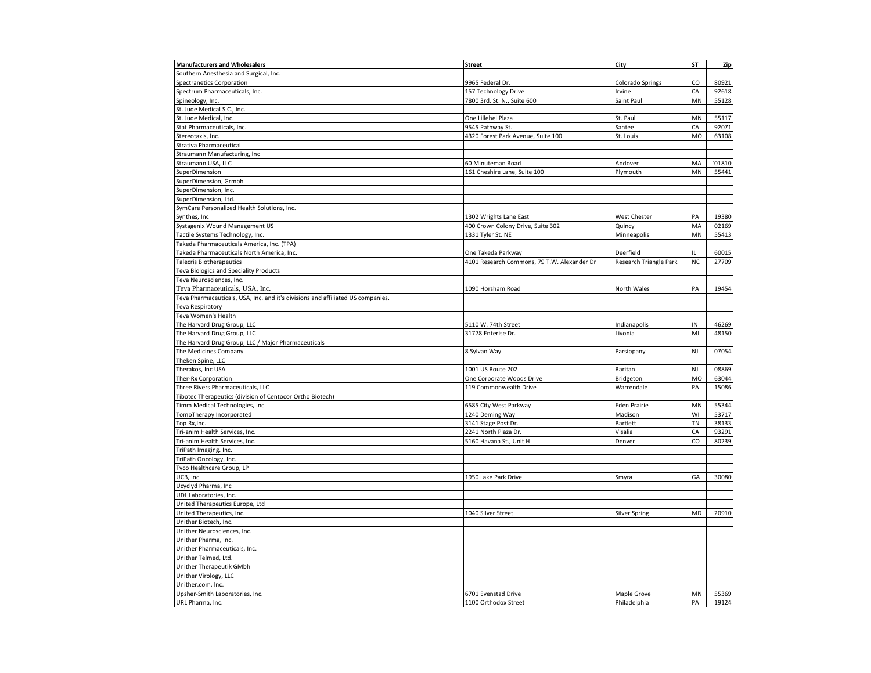| <b>Manufacturers and Wholesalers</b>                                            | <b>Street</b>                               | City                   | <b>ST</b> | Zip   |
|---------------------------------------------------------------------------------|---------------------------------------------|------------------------|-----------|-------|
| Southern Anesthesia and Surgical, Inc.                                          |                                             |                        |           |       |
| <b>Spectranetics Corporation</b>                                                | 9965 Federal Dr.                            | Colorado Springs       | CO        | 80921 |
| Spectrum Pharmaceuticals, Inc.                                                  | 157 Technology Drive                        | Irvine                 | CA        | 92618 |
| Spineology, Inc.                                                                | 7800 3rd. St. N., Suite 600                 | Saint Paul             | MN        | 55128 |
| St. Jude Medical S.C., Inc.                                                     |                                             |                        |           |       |
| St. Jude Medical, Inc.                                                          | One Lillehei Plaza                          | St. Paul               | MN        | 55117 |
| Stat Pharmaceuticals, Inc.                                                      | 9545 Pathway St                             | Santee                 | CA        | 92071 |
| Stereotaxis, Inc.                                                               | 4320 Forest Park Avenue, Suite 100          | St. Louis              | MO        | 63108 |
| Strativa Pharmaceutical                                                         |                                             |                        |           |       |
| Straumann Manufacturing, Inc                                                    |                                             |                        |           |       |
| Straumann USA, LLC                                                              | 60 Minuteman Road                           | Andover                | MA        | 01810 |
| SuperDimension                                                                  | 161 Cheshire Lane, Suite 100                | Plymouth               | MN        | 55441 |
| SuperDimension, Grmbh                                                           |                                             |                        |           |       |
| SuperDimension, Inc.                                                            |                                             |                        |           |       |
| SuperDimension, Ltd.                                                            |                                             |                        |           |       |
| SymCare Personalized Health Solutions, Inc.                                     |                                             |                        |           |       |
| Synthes, Inc                                                                    | 1302 Wrights Lane East                      | <b>West Chester</b>    | PA        | 19380 |
| Systagenix Wound Management US                                                  | 400 Crown Colony Drive, Suite 302           | Quincy                 | MA        | 02169 |
| Tactile Systems Technology, Inc.                                                | 1331 Tyler St. NE                           | Minneapolis            | MN        | 55413 |
| Takeda Pharmaceuticals America, Inc. (TPA)                                      |                                             |                        |           |       |
| Takeda Pharmaceuticals North America, Inc.                                      | One Takeda Parkway                          | Deerfield              | IL        | 60015 |
| <b>Talecris Biotherapeutics</b>                                                 | 4101 Research Commons, 79 T.W. Alexander Dr | Research Triangle Park | NC        | 27709 |
| Teva Biologics and Speciality Products                                          |                                             |                        |           |       |
| Teva Neurosciences, Inc.                                                        |                                             |                        |           |       |
| Teva Pharmaceuticals, USA, Inc.                                                 | 1090 Horsham Road                           | North Wales            | PA        | 19454 |
| Teva Pharmaceuticals, USA, Inc. and it's divisions and affiliated US companies. |                                             |                        |           |       |
| Teva Respiratory                                                                |                                             |                        |           |       |
| Teva Women's Health                                                             |                                             |                        |           |       |
| The Harvard Drug Group, LLC                                                     | 5110 W. 74th Street                         | Indianapolis           | IN        | 46269 |
| The Harvard Drug Group, LLC                                                     | 31778 Enterise Dr.                          | Livonia                | MI        | 48150 |
| The Harvard Drug Group, LLC / Major Pharmaceuticals                             |                                             |                        |           |       |
| The Medicines Company                                                           | 8 Sylvan Way                                | Parsippany             | NJ        | 07054 |
| Theken Spine, LLC                                                               |                                             |                        |           |       |
| Therakos, Inc USA                                                               | 1001 US Route 202                           | Raritan                | NJ        | 08869 |
| Ther-Rx Corporation                                                             | One Corporate Woods Drive                   | Bridgeton              | MO        | 63044 |
| Three Rivers Pharmaceuticals, LLC                                               | 119 Commonwealth Drive                      | Warrendale             | PA        | 15086 |
| Tibotec Therapeutics (division of Centocor Ortho Biotech)                       |                                             |                        |           |       |
| Timm Medical Technologies, Inc.                                                 | 6585 City West Parkway                      | <b>Eden Prairie</b>    | MN        | 55344 |
| TomoTherapy Incorporated                                                        | 1240 Deming Way                             | Madison                | WI        | 53717 |
| Top Rx, Inc.                                                                    | 3141 Stage Post Dr.                         | Bartlett               | TN        | 38133 |
| Tri-anim Health Services, Inc.                                                  | 2241 North Plaza Dr.                        | Visalia                | CA        | 93291 |
| Tri-anim Health Services, Inc.                                                  | 5160 Havana St., Unit H                     | Denver                 | CO        | 80239 |
| TriPath Imaging. Inc.                                                           |                                             |                        |           |       |
| TriPath Oncology, Inc.                                                          |                                             |                        |           |       |
| Tyco Healthcare Group, LP                                                       |                                             |                        |           |       |
| UCB, Inc.                                                                       | 1950 Lake Park Drive                        | Smyra                  | GA        | 30080 |
| Ucyclyd Pharma, Inc                                                             |                                             |                        |           |       |
| UDL Laboratories, Inc.                                                          |                                             |                        |           |       |
| United Therapeutics Europe, Ltd                                                 |                                             |                        |           |       |
| United Therapeutics, Inc.                                                       | 1040 Silver Street                          | <b>Silver Spring</b>   | MD        | 20910 |
| Unither Biotech, Inc.                                                           |                                             |                        |           |       |
| Unither Neurosciences, Inc.                                                     |                                             |                        |           |       |
| Unither Pharma, Inc.                                                            |                                             |                        |           |       |
|                                                                                 |                                             |                        |           |       |
| Unither Pharmaceuticals, Inc.<br>Unither Telmed, Ltd.                           |                                             |                        |           |       |
|                                                                                 |                                             |                        |           |       |
| Unither Therapeutik GMbh                                                        |                                             |                        |           |       |
| Unither Virology, LLC                                                           |                                             |                        |           |       |
| Unither.com, Inc.                                                               |                                             |                        |           |       |
| Upsher-Smith Laboratories, Inc.                                                 | 6701 Evenstad Drive                         | Maple Grove            | MN        | 55369 |
| URL Pharma, Inc.                                                                | 1100 Orthodox Street                        | Philadelphia           | PA        | 19124 |